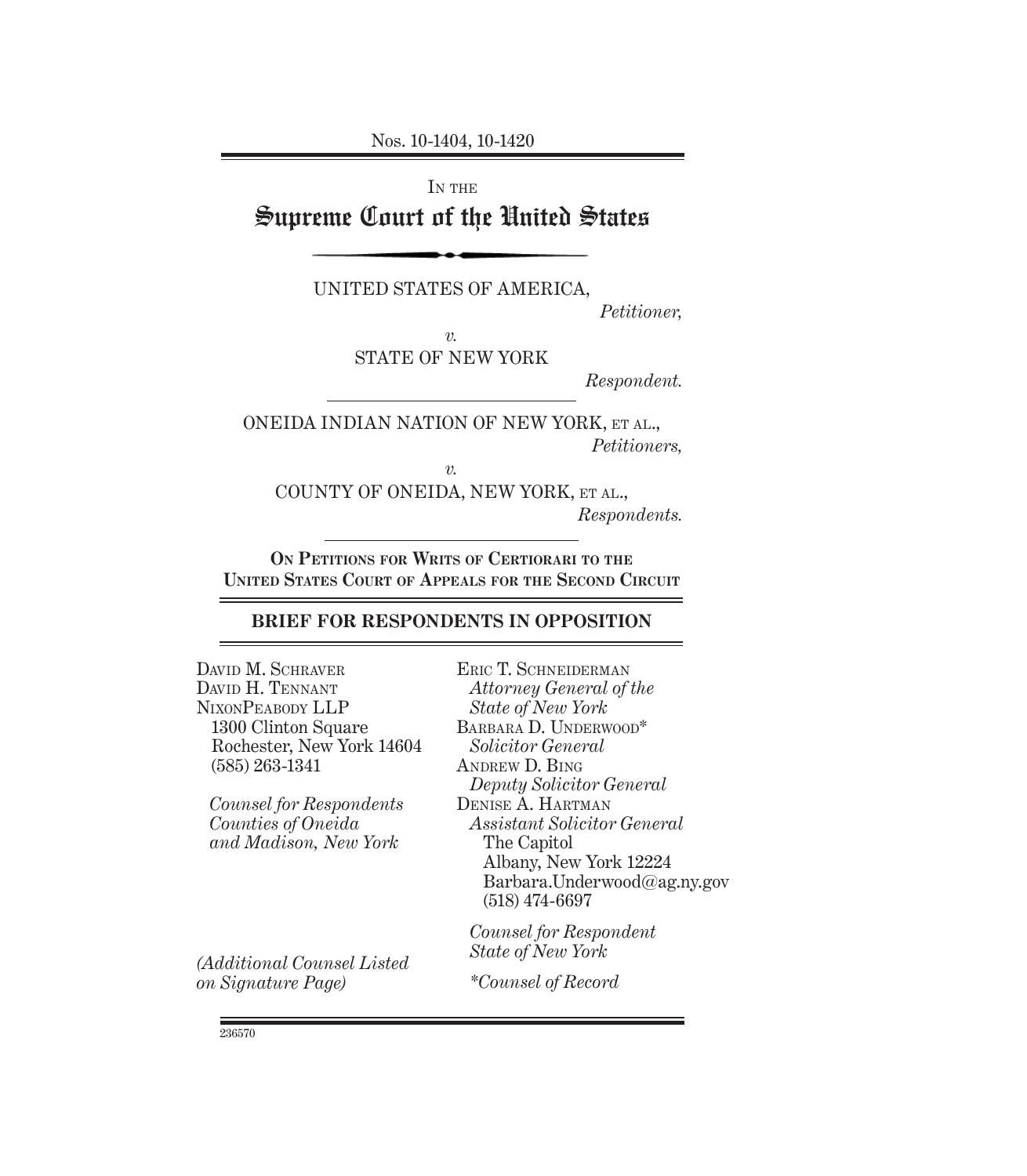### IN THE

# Supreme Court of the United States

UNITED STATES OF AMERICA,

*Petitioner,*

*v.*

STATE OF NEW YORK

*Respondent.*

ONEIDA INDIAN NATION OF NEW YORK, ET AL., *Petitioners,*

*v.*

COUNTY OF ONEIDA, NEW YORK, ET AL., *Respondents.*

**ON PETITIONS FOR WRITS OF CERTIORARI TO THE UNITED STATES COURT OF APPEALS FOR THE SECOND CIRCUIT**

# **BRIEF FOR RESPONDENTS IN OPPOSITION**

DAVID M. SCHRAVER DAVID H. TENNANT NIXONPEABODY LLP 1300 Clinton Square Rochester, New York 14604 (585) 263-1341

*Counsel for Respondents Counties of Oneida and Madison, New York*

*(Additional Counsel Listed on Signature Page)*

ERIC T. SCHNEIDERMAN *Attorney General of the State of New York* BARBARA D. UNDERWOOD\* *Solicitor General* ANDREW D. BING *Deputy Solicitor General* DENISE A. HARTMAN *Assistant Solicitor General* The Capitol Albany, New York 12224 Barbara.Underwood@ag.ny.gov (518) 474-6697 *Counsel for Respondent*

*State of New York*

*\*Counsel of Record*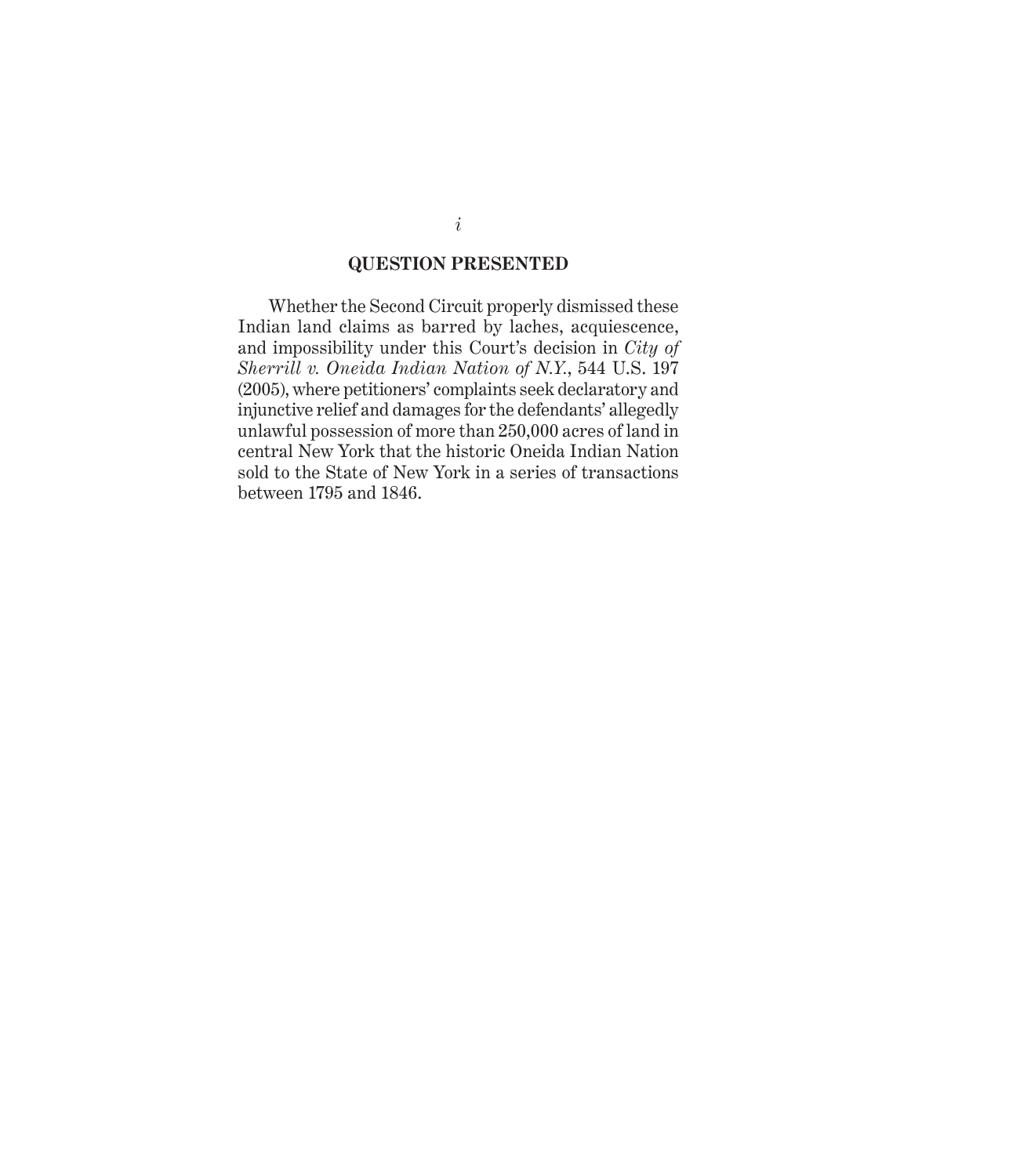#### **QUESTION PRESENTED**

Whether the Second Circuit properly dismissed these Indian land claims as barred by laches, acquiescence, and impossibility under this Court's decision in *City of Sherrill v. Oneida Indian Nation of N.Y.*, 544 U.S. 197 (2005), where petitioners' complaints seek declaratory and injunctive relief and damages for the defendants' allegedly unlawful possession of more than 250,000 acres of land in central New York that the historic Oneida Indian Nation sold to the State of New York in a series of transactions between 1795 and 1846.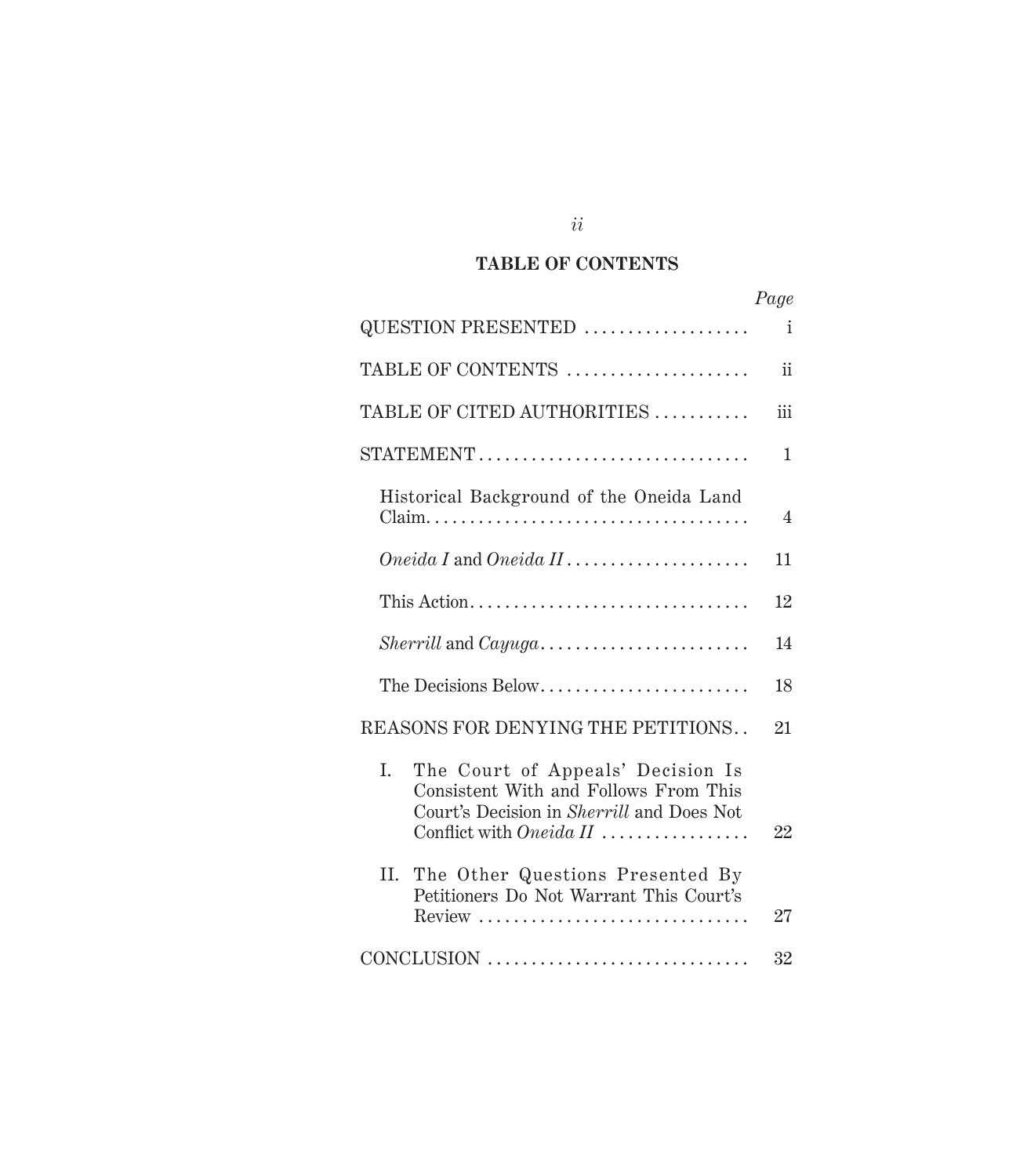# **TABLE OF CONTENTS**

|                                                                                                                                                          | Page         |
|----------------------------------------------------------------------------------------------------------------------------------------------------------|--------------|
| QUESTION PRESENTED                                                                                                                                       | $\mathbf{i}$ |
| TABLE OF CONTENTS                                                                                                                                        | ii           |
| TABLE OF CITED AUTHORITIES                                                                                                                               | iii          |
| STATEMENT                                                                                                                                                | $\mathbf{1}$ |
| Historical Background of the Oneida Land                                                                                                                 | 4            |
| $Oneida I$ and $Oneida II$                                                                                                                               | 11           |
| This Action                                                                                                                                              | 12           |
| $Sherrill$ and $Cayuga \ldots \ldots \ldots \ldots \ldots \ldots \ldots$                                                                                 | 14           |
| The Decisions Below                                                                                                                                      | 18           |
| REASONS FOR DENYING THE PETITIONS                                                                                                                        | 21           |
| L.<br>The Court of Appeals' Decision Is<br>Consistent With and Follows From This<br>Court's Decision in Sherrill and Does Not<br>Conflict with Oneida II | 22           |
| II. The Other Questions Presented By<br>Petitioners Do Not Warrant This Court's<br>Review                                                                | 27           |
| CONCLUSION                                                                                                                                               | 32           |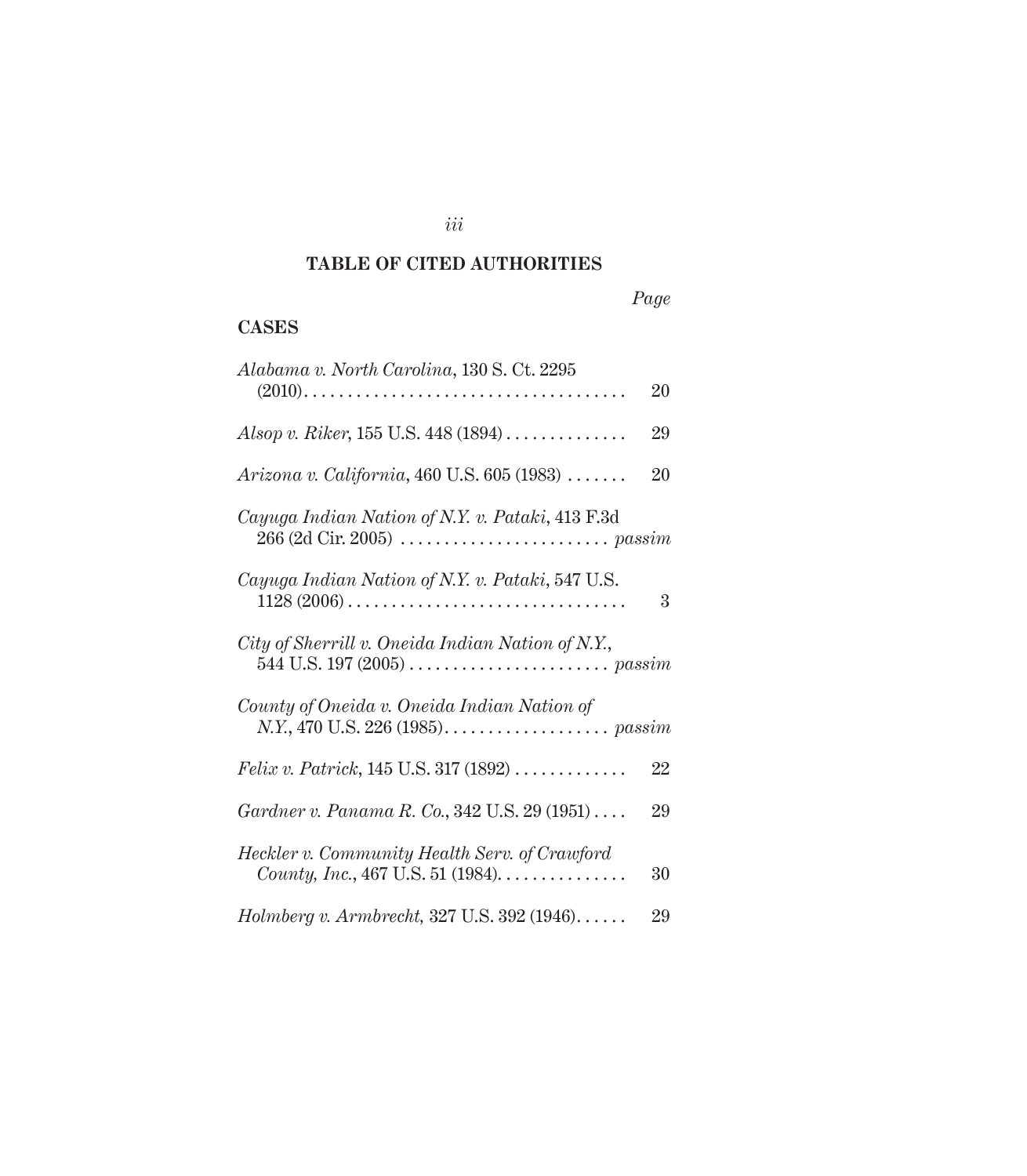### *iii*

# **TABLE OF CITED AUTHORITIES**

# **CASES**

| Alabama v. North Carolina, 130 S. Ct. 2295                                                                   | 20 |
|--------------------------------------------------------------------------------------------------------------|----|
| Alsop v. Riker, 155 U.S. 448 $(1894)$                                                                        | 29 |
| Arizona v. California, 460 U.S. 605 (1983)                                                                   | 20 |
| Cayuga Indian Nation of N.Y. v. Pataki, 413 F.3d                                                             |    |
| Cayuga Indian Nation of N.Y. v. Pataki, 547 U.S.                                                             | 3  |
| City of Sherrill v. Oneida Indian Nation of N.Y.,                                                            |    |
| County of Oneida v. Oneida Indian Nation of                                                                  |    |
| <i>Felix v. Patrick</i> , $145$ U.S. $317$ $(1892)$                                                          | 22 |
| Gardner v. Panama R. Co., 342 U.S. 29 (1951)                                                                 | 29 |
| Heckler v. Community Health Serv. of Crawford<br>County, Inc., 467 U.S. 51 (1984). $\dots \dots \dots \dots$ | 30 |
| $Holmberg$ v. Armbrecht, 327 U.S. 392 (1946)                                                                 | 29 |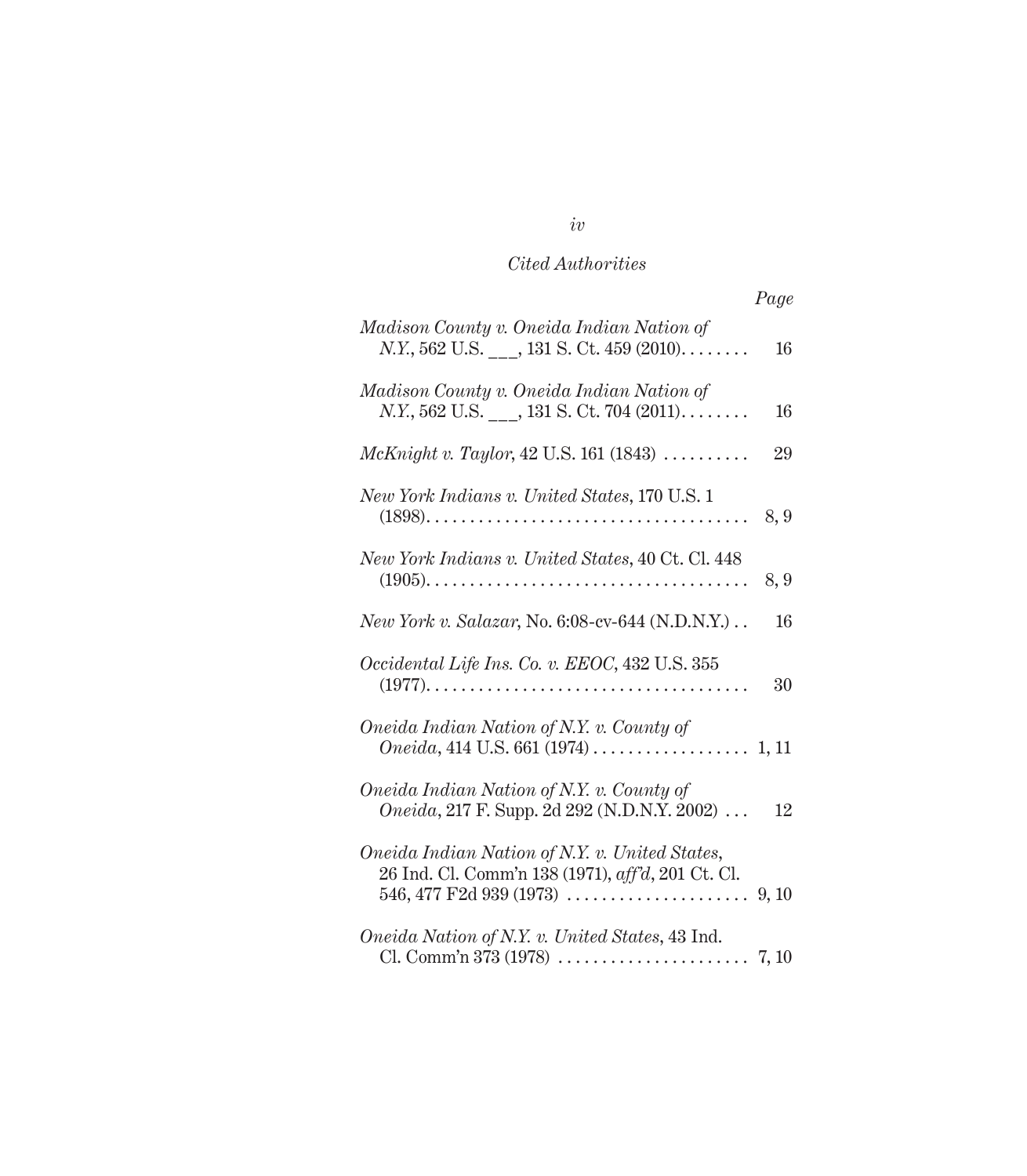# *Cited Authorities*

| Madison County v. Oneida Indian Nation of<br>$N.Y., 562$ U.S. ___, 131 S. Ct. 459 (2010)            | 16  |
|-----------------------------------------------------------------------------------------------------|-----|
| Madison County v. Oneida Indian Nation of<br>$N.Y., 562$ U.S. ___, 131 S. Ct. 704 (2011)            | 16  |
| $McKnight v. Taylor, 42 U.S. 161 (1843) \ldots$                                                     | 29  |
| New York Indians v. United States, 170 U.S. 1                                                       | 8,9 |
| New York Indians v. United States, 40 Ct. Cl. 448                                                   | 8,9 |
| <i>New York v. Salazar</i> , No. 6:08-cv-644 (N.D.N.Y.)                                             | 16  |
| Occidental Life Ins. Co. v. EEOC, 432 U.S. 355                                                      | 30  |
| Oneida Indian Nation of N.Y. v. County of                                                           |     |
| Oneida Indian Nation of N.Y. v. County of<br><i>Oneida</i> , 217 F. Supp. 2d 292 (N.D.N.Y. 2002)    | 12  |
| Oneida Indian Nation of N.Y. v. United States,<br>26 Ind. Cl. Comm'n 138 (1971), aff'd, 201 Ct. Cl. |     |
| Oneida Nation of N.Y. v. United States, 43 Ind.                                                     |     |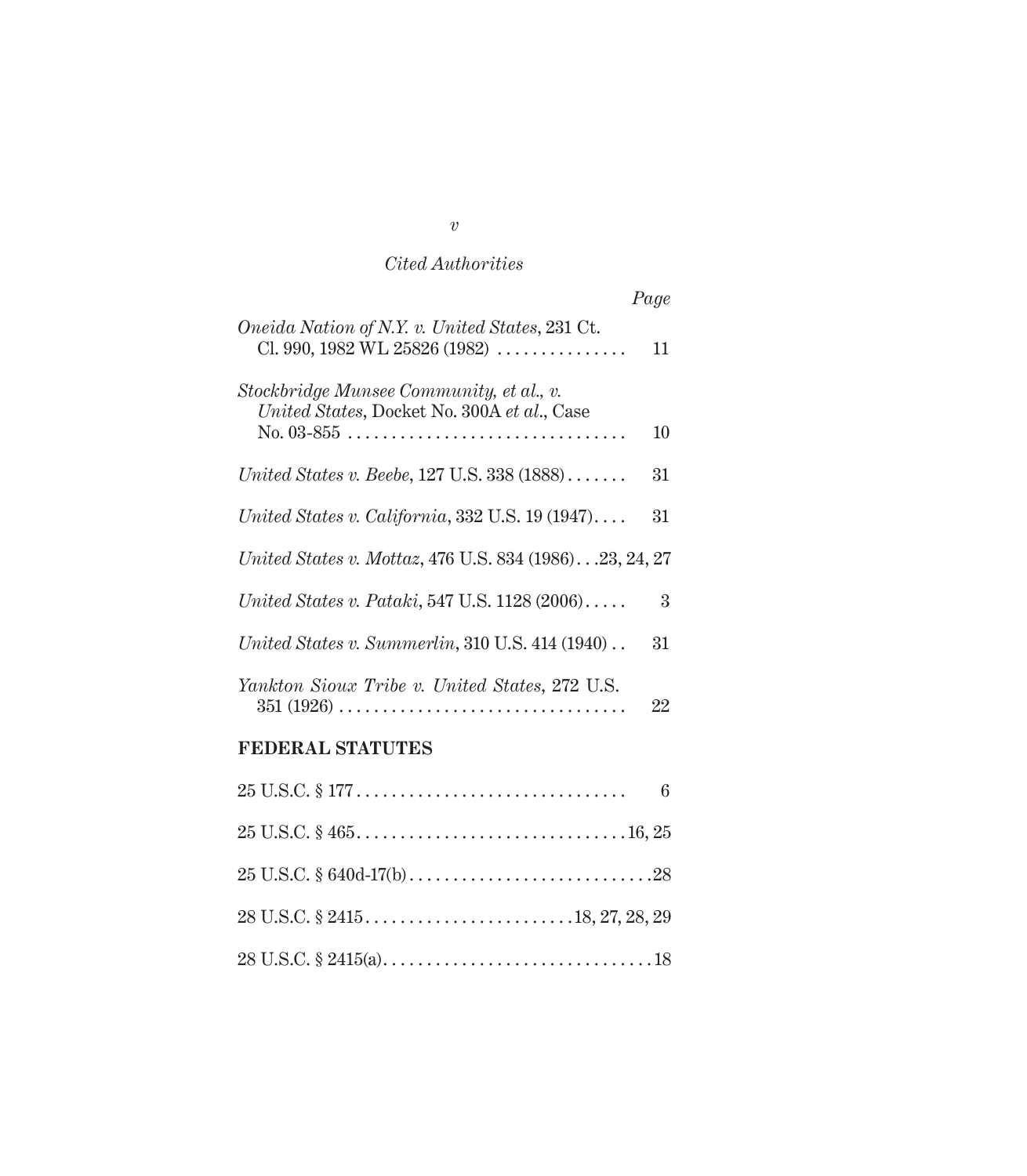# *Cited Authorities*

*Page*

| Oneida Nation of N.Y. v. United States, 231 Ct.<br>Cl. 990, 1982 WL 25826 (1982) $\ldots$                                                   | 11              |
|---------------------------------------------------------------------------------------------------------------------------------------------|-----------------|
| Stockbridge Munsee Community, et al., v.<br>United States, Docket No. 300A et al., Case<br>$No. 03-855$                                     | 10              |
| United States v. Beebe, 127 U.S. 338 (1888)                                                                                                 | 31              |
| United States v. California, 332 U.S. $19(1947) \ldots$                                                                                     | 31              |
| United States v. Mottaz, 476 U.S. 834 (1986).23, 24, 27                                                                                     |                 |
| United States v. Pataki, 547 U.S. $1128(2006)\ldots$ .                                                                                      | 3               |
| United States v. Summerlin, $310$ U.S. $414$ (1940)                                                                                         | 31              |
| Yankton Sioux Tribe v. United States, 272 U.S.<br>$351 (1926) \ldots \ldots \ldots \ldots \ldots \ldots \ldots \ldots \ldots \ldots \ldots$ | 22              |
| <b>FEDERAL STATUTES</b>                                                                                                                     |                 |
|                                                                                                                                             | $6\phantom{.}6$ |
|                                                                                                                                             |                 |
|                                                                                                                                             |                 |
|                                                                                                                                             |                 |
|                                                                                                                                             |                 |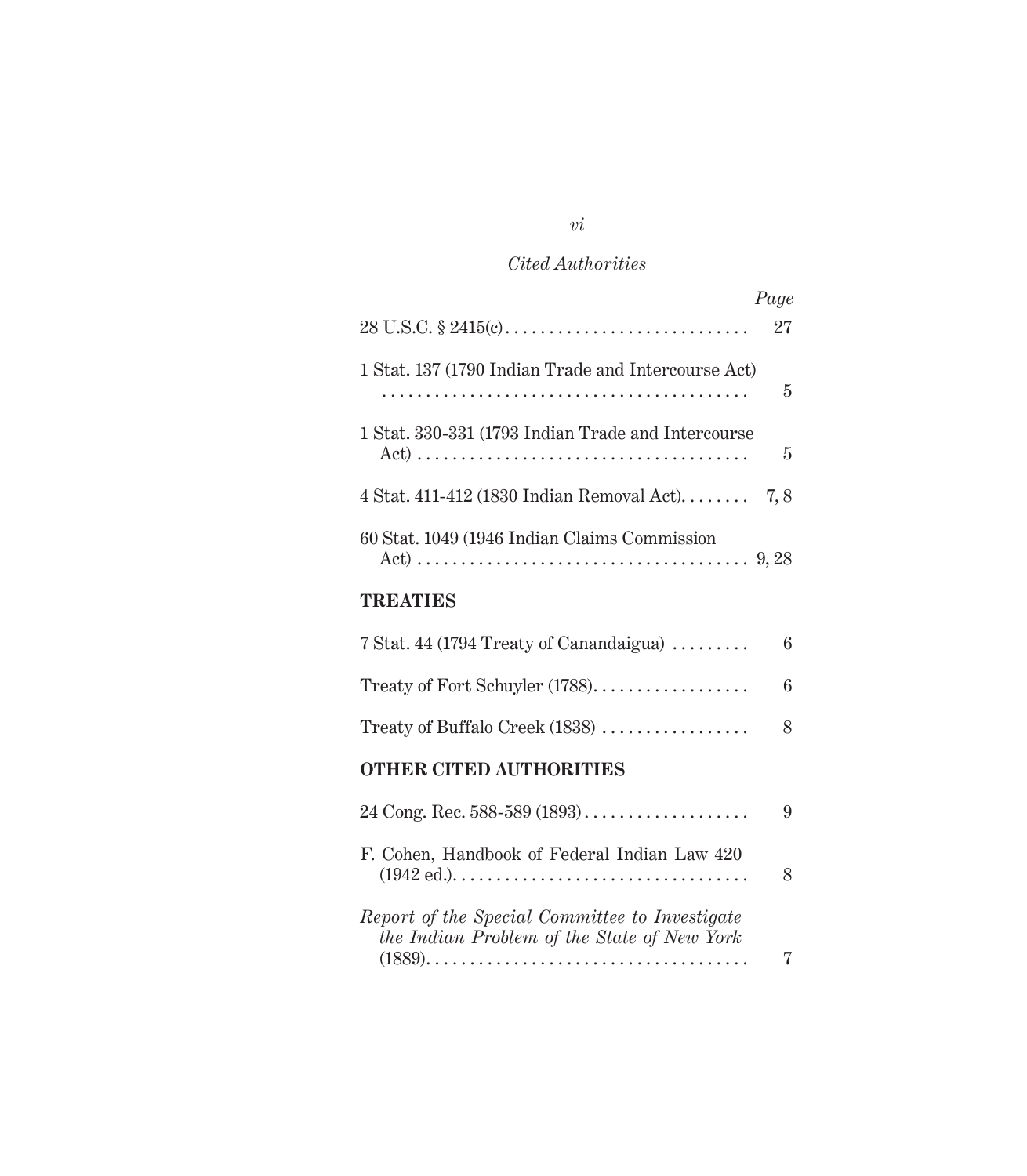# *Cited Authorities*

|                                                                                               | Page |
|-----------------------------------------------------------------------------------------------|------|
|                                                                                               | 27   |
| 1 Stat. 137 (1790 Indian Trade and Intercourse Act)                                           | 5    |
| 1 Stat. 330-331 (1793 Indian Trade and Intercourse                                            | 5    |
| 4 Stat. 411-412 (1830 Indian Removal Act) $7, 8$                                              |      |
| 60 Stat. 1049 (1946 Indian Claims Commission                                                  |      |
| TREATIES                                                                                      |      |
| 7 Stat. 44 (1794 Treaty of Canandaigua) $\dots\dots\dots$                                     | 6    |
| Treaty of Fort Schuyler (1788).                                                               | 6    |
| Treaty of Buffalo Creek (1838)                                                                | 8    |
| <b>OTHER CITED AUTHORITIES</b>                                                                |      |
| 24 Cong. Rec. 588-589 $(1893)$                                                                | 9    |
| F. Cohen, Handbook of Federal Indian Law 420                                                  | 8    |
| Report of the Special Committee to Investigate<br>the Indian Problem of the State of New York | 7    |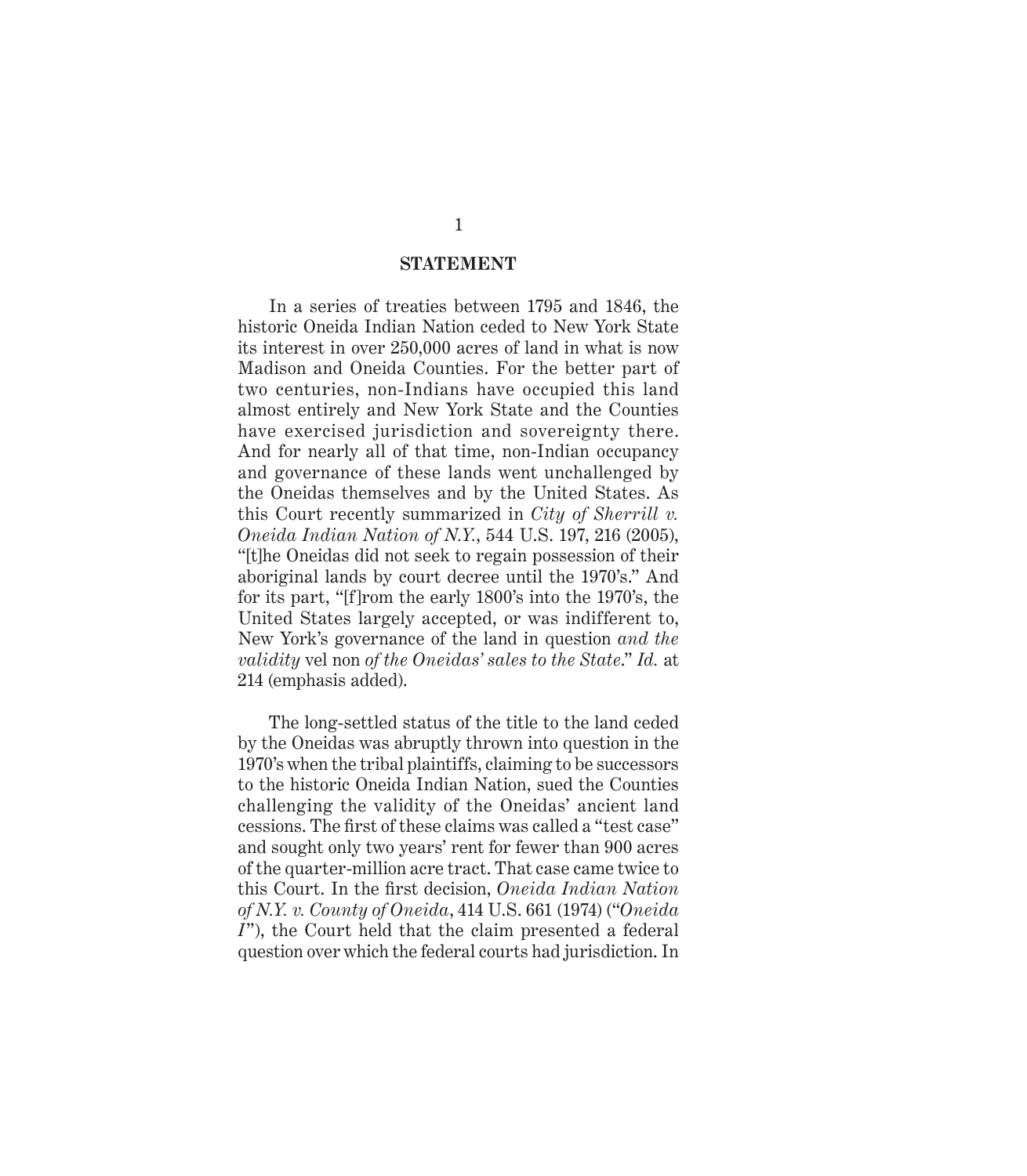#### **STATEMENT**

In a series of treaties between 1795 and 1846, the historic Oneida Indian Nation ceded to New York State its interest in over 250,000 acres of land in what is now Madison and Oneida Counties. For the better part of two centuries, non-Indians have occupied this land almost entirely and New York State and the Counties have exercised jurisdiction and sovereignty there. And for nearly all of that time, non-Indian occupancy and governance of these lands went unchallenged by the Oneidas themselves and by the United States. As this Court recently summarized in *City of Sherrill v. Oneida Indian Nation of N.Y.*, 544 U.S. 197, 216 (2005), "[t]he Oneidas did not seek to regain possession of their aboriginal lands by court decree until the 1970's." And for its part, "[f]rom the early 1800's into the 1970's, the United States largely accepted, or was indifferent to, New York's governance of the land in question *and the validity* vel non *of the Oneidas' sales to the State*." *Id.* at 214 (emphasis added).

The long-settled status of the title to the land ceded by the Oneidas was abruptly thrown into question in the 1970's when the tribal plaintiffs, claiming to be successors to the historic Oneida Indian Nation, sued the Counties challenging the validity of the Oneidas' ancient land cessions. The first of these claims was called a "test case" and sought only two years' rent for fewer than 900 acres of the quarter-million acre tract. That case came twice to this Court. In the first decision, *Oneida Indian Nation of N.Y. v. County of Oneida*, 414 U.S. 661 (1974) ("*Oneida I*"), the Court held that the claim presented a federal question over which the federal courts had jurisdiction. In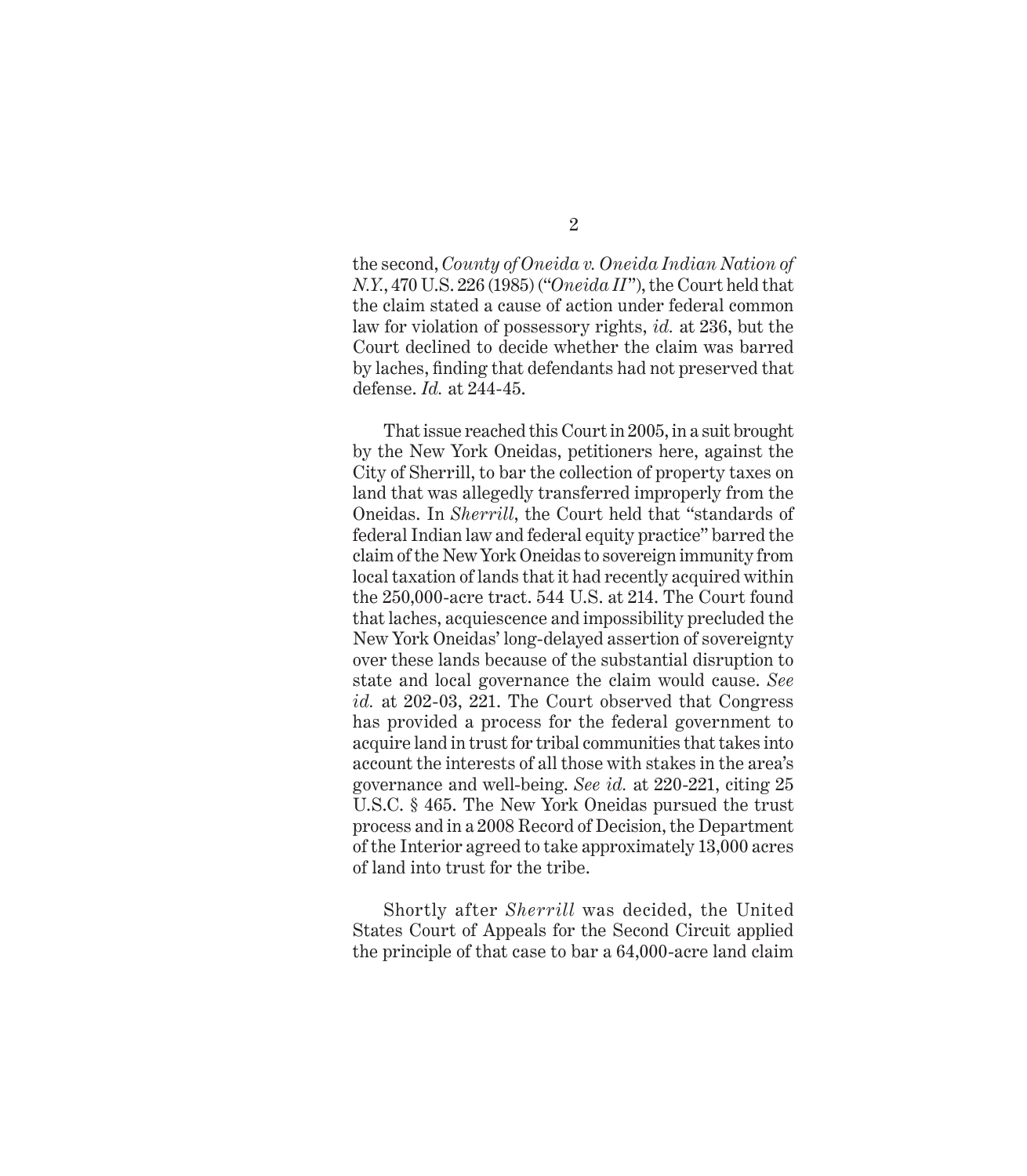the second, *County of Oneida v. Oneida Indian Nation of N.Y.*, 470 U.S. 226 (1985) ("*Oneida II*"), the Court held that the claim stated a cause of action under federal common law for violation of possessory rights, *id.* at 236, but the Court declined to decide whether the claim was barred by laches, finding that defendants had not preserved that defense. *Id.* at 244-45.

That issue reached this Court in 2005, in a suit brought by the New York Oneidas, petitioners here, against the City of Sherrill, to bar the collection of property taxes on land that was allegedly transferred improperly from the Oneidas. In *Sherrill*, the Court held that "standards of federal Indian law and federal equity practice" barred the claim of the New York Oneidas to sovereign immunity from local taxation of lands that it had recently acquired within the 250,000-acre tract. 544 U.S. at 214. The Court found that laches, acquiescence and impossibility precluded the New York Oneidas' long-delayed assertion of sovereignty over these lands because of the substantial disruption to state and local governance the claim would cause. *See id.* at 202-03, 221. The Court observed that Congress has provided a process for the federal government to acquire land in trust for tribal communities that takes into account the interests of all those with stakes in the area's governance and well-being. *See id.* at 220-221, citing 25 U.S.C. § 465. The New York Oneidas pursued the trust process and in a 2008 Record of Decision, the Department of the Interior agreed to take approximately 13,000 acres of land into trust for the tribe.

Shortly after *Sherrill* was decided, the United States Court of Appeals for the Second Circuit applied the principle of that case to bar a 64,000-acre land claim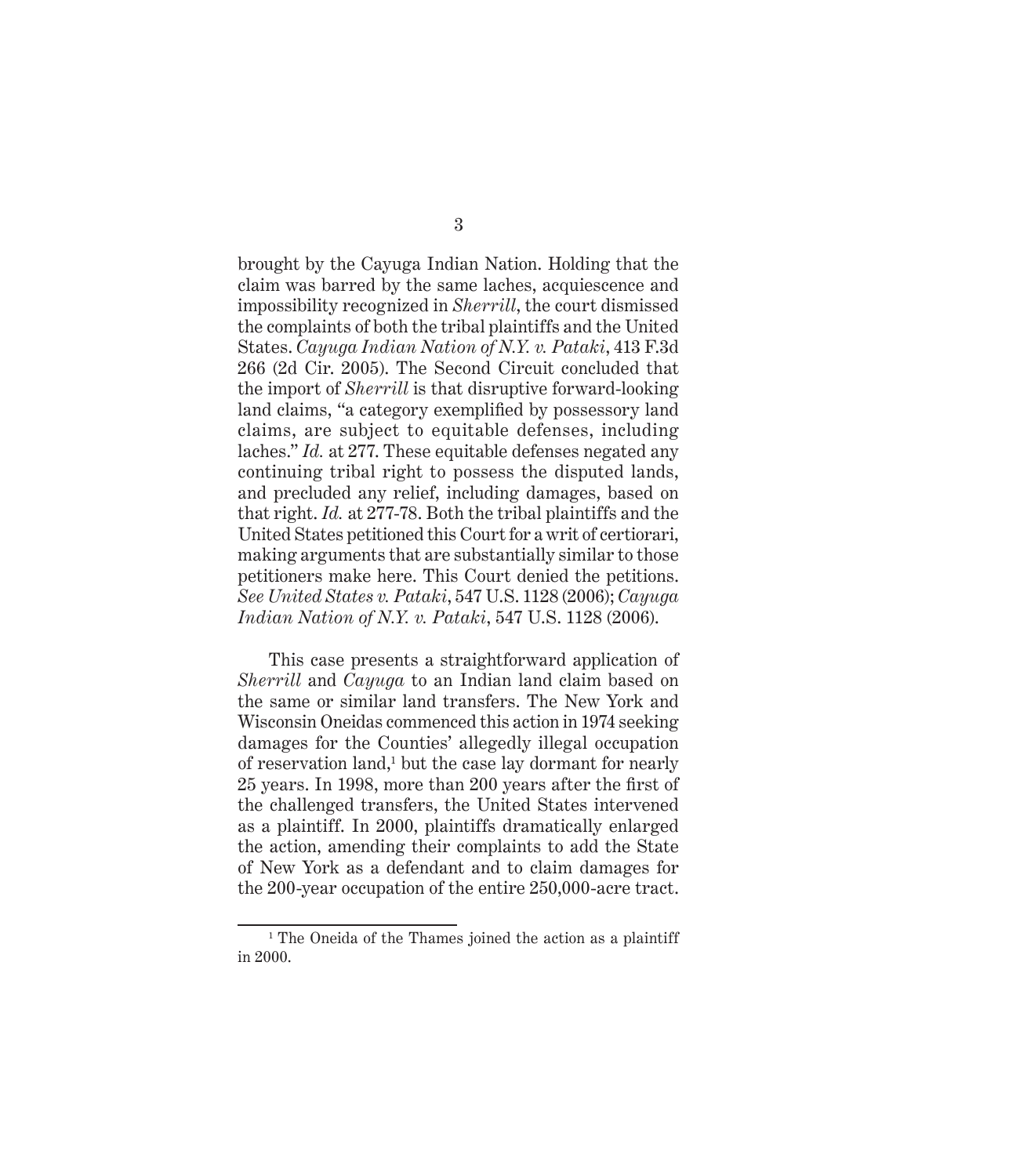brought by the Cayuga Indian Nation. Holding that the claim was barred by the same laches, acquiescence and impossibility recognized in *Sherrill*, the court dismissed the complaints of both the tribal plaintiffs and the United States. *Cayuga Indian Nation of N.Y. v. Pataki*, 413 F.3d 266 (2d Cir. 2005). The Second Circuit concluded that the import of *Sherrill* is that disruptive forward-looking land claims, "a category exemplified by possessory land claims, are subject to equitable defenses, including laches." *Id.* at 277. These equitable defenses negated any continuing tribal right to possess the disputed lands, and precluded any relief, including damages, based on that right. *Id.* at 277-78. Both the tribal plaintiffs and the United States petitioned this Court for a writ of certiorari, making arguments that are substantially similar to those petitioners make here. This Court denied the petitions. *See United States v. Pataki*, 547 U.S. 1128 (2006); *Cayuga Indian Nation of N.Y. v. Pataki*, 547 U.S. 1128 (2006).

This case presents a straightforward application of *Sherrill* and *Cayuga* to an Indian land claim based on the same or similar land transfers. The New York and Wisconsin Oneidas commenced this action in 1974 seeking damages for the Counties' allegedly illegal occupation of reservation land,<sup>1</sup> but the case lay dormant for nearly 25 years. In 1998, more than 200 years after the first of the challenged transfers, the United States intervened as a plaintiff. In 2000, plaintiffs dramatically enlarged the action, amending their complaints to add the State of New York as a defendant and to claim damages for the 200-year occupation of the entire 250,000-acre tract.

 $<sup>1</sup>$  The Oneida of the Thames joined the action as a plaintiff</sup> in 2000.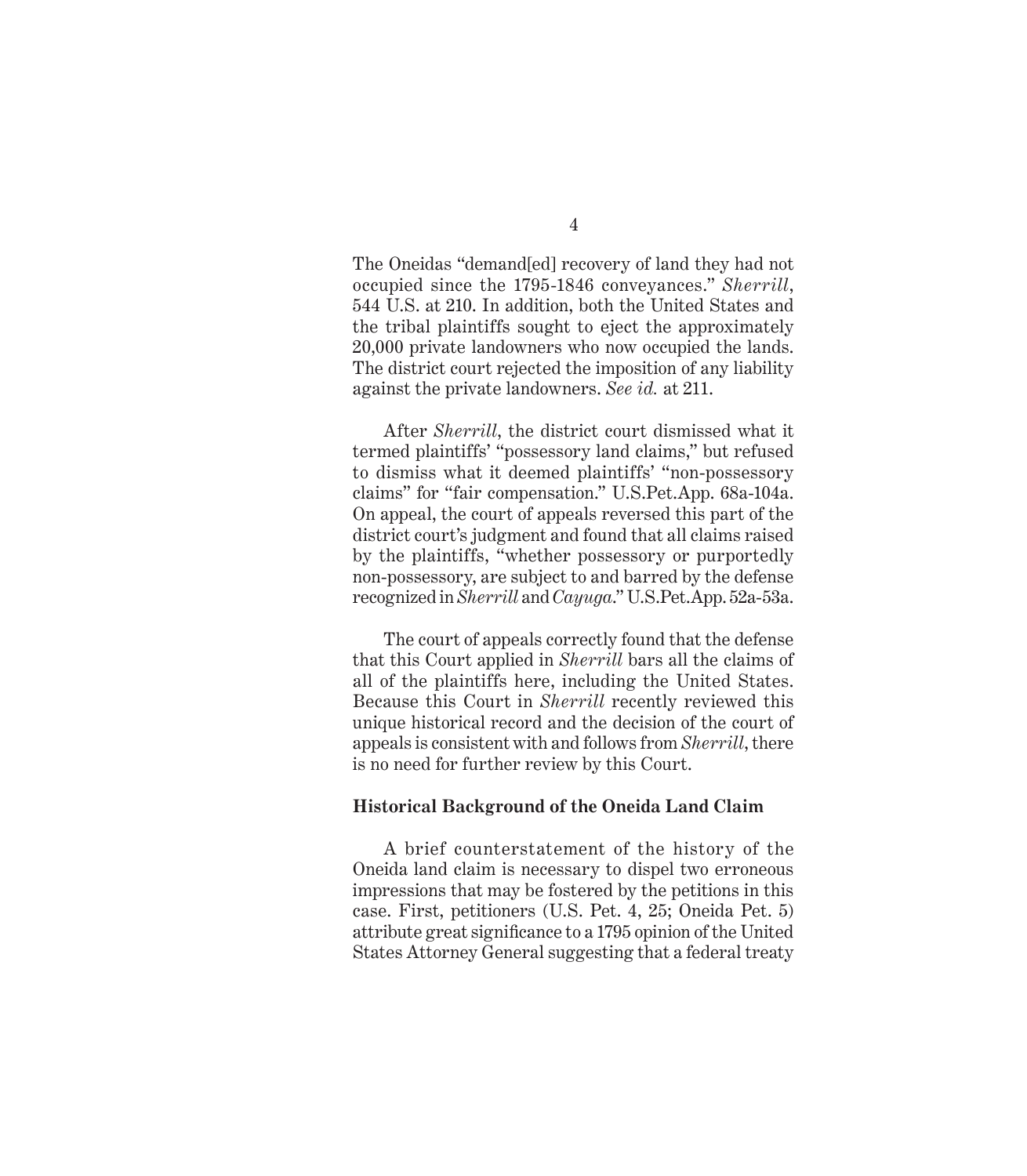The Oneidas "demand[ed] recovery of land they had not occupied since the 1795-1846 conveyances." *Sherrill*, 544 U.S. at 210. In addition, both the United States and the tribal plaintiffs sought to eject the approximately 20,000 private landowners who now occupied the lands. The district court rejected the imposition of any liability against the private landowners. *See id.* at 211.

After *Sherrill*, the district court dismissed what it termed plaintiffs' "possessory land claims," but refused to dismiss what it deemed plaintiffs' "non-possessory claims" for "fair compensation." U.S.Pet.App. 68a-104a. On appeal, the court of appeals reversed this part of the district court's judgment and found that all claims raised by the plaintiffs, "whether possessory or purportedly non-possessory, are subject to and barred by the defense recognized in *Sherrill* and *Cayuga*." U.S.Pet.App. 52a-53a.

The court of appeals correctly found that the defense that this Court applied in *Sherrill* bars all the claims of all of the plaintiffs here, including the United States. Because this Court in *Sherrill* recently reviewed this unique historical record and the decision of the court of appeals is consistent with and follows from *Sherrill*, there is no need for further review by this Court.

### **Historical Background of the Oneida Land Claim**

A brief counterstatement of the history of the Oneida land claim is necessary to dispel two erroneous impressions that may be fostered by the petitions in this case. First, petitioners (U.S. Pet. 4, 25; Oneida Pet. 5) attribute great significance to a 1795 opinion of the United States Attorney General suggesting that a federal treaty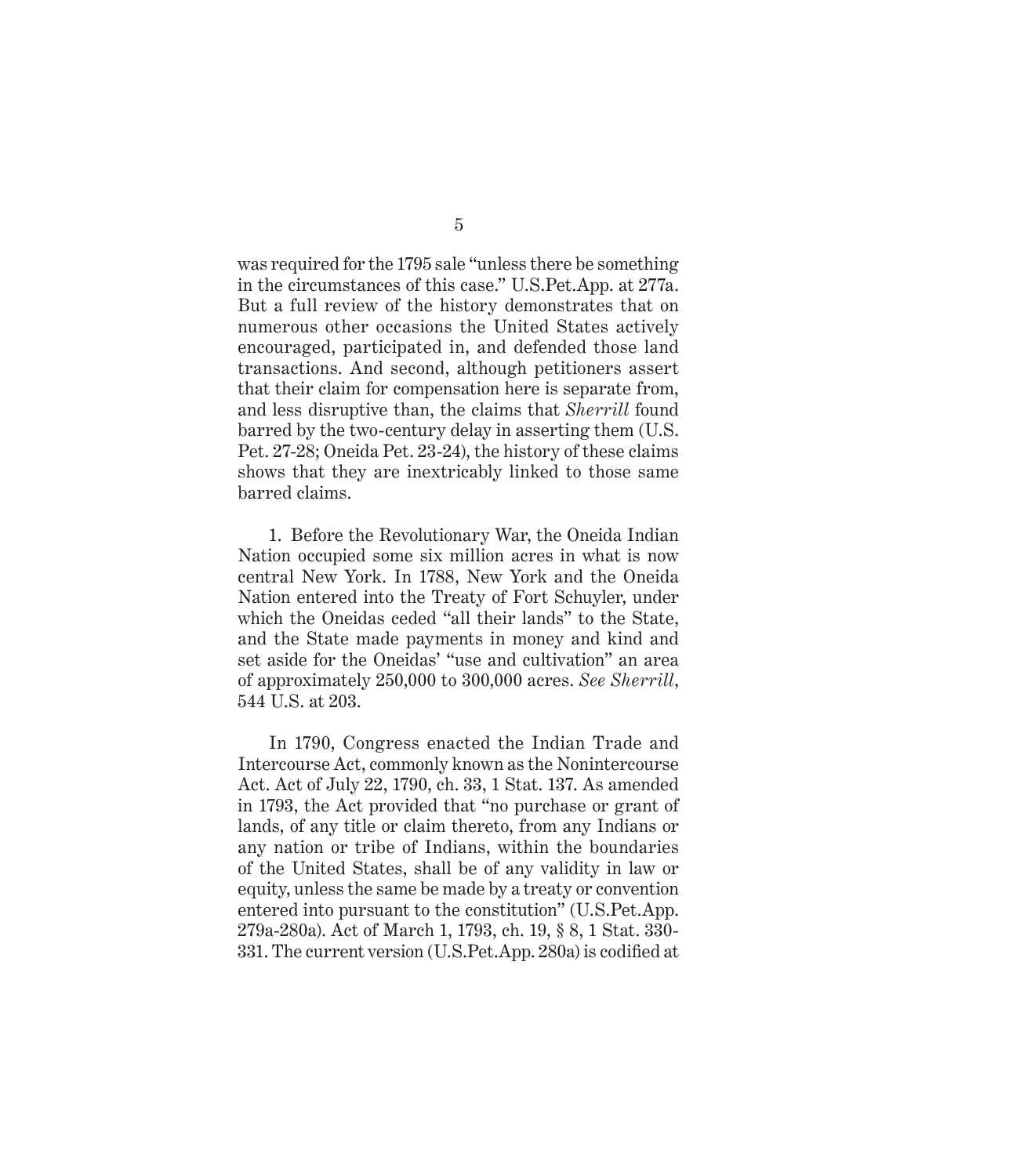was required for the 1795 sale "unless there be something in the circumstances of this case." U.S.Pet.App. at 277a. But a full review of the history demonstrates that on numerous other occasions the United States actively encouraged, participated in, and defended those land transactions. And second, although petitioners assert that their claim for compensation here is separate from, and less disruptive than, the claims that *Sherrill* found barred by the two-century delay in asserting them (U.S. Pet. 27-28; Oneida Pet. 23-24), the history of these claims shows that they are inextricably linked to those same barred claims.

1. Before the Revolutionary War, the Oneida Indian Nation occupied some six million acres in what is now central New York. In 1788, New York and the Oneida Nation entered into the Treaty of Fort Schuyler, under which the Oneidas ceded "all their lands" to the State, and the State made payments in money and kind and set aside for the Oneidas' "use and cultivation" an area of approximately 250,000 to 300,000 acres. *See Sherrill*, 544 U.S. at 203.

In 1790, Congress enacted the Indian Trade and Intercourse Act, commonly known as the Nonintercourse Act. Act of July 22, 1790, ch. 33, 1 Stat. 137. As amended in 1793, the Act provided that "no purchase or grant of lands, of any title or claim thereto, from any Indians or any nation or tribe of Indians, within the boundaries of the United States, shall be of any validity in law or equity, unless the same be made by a treaty or convention entered into pursuant to the constitution" (U.S.Pet.App. 279a-280a). Act of March 1, 1793, ch. 19, § 8, 1 Stat. 330- 331. The current version (U.S.Pet.App. 280a) is codified at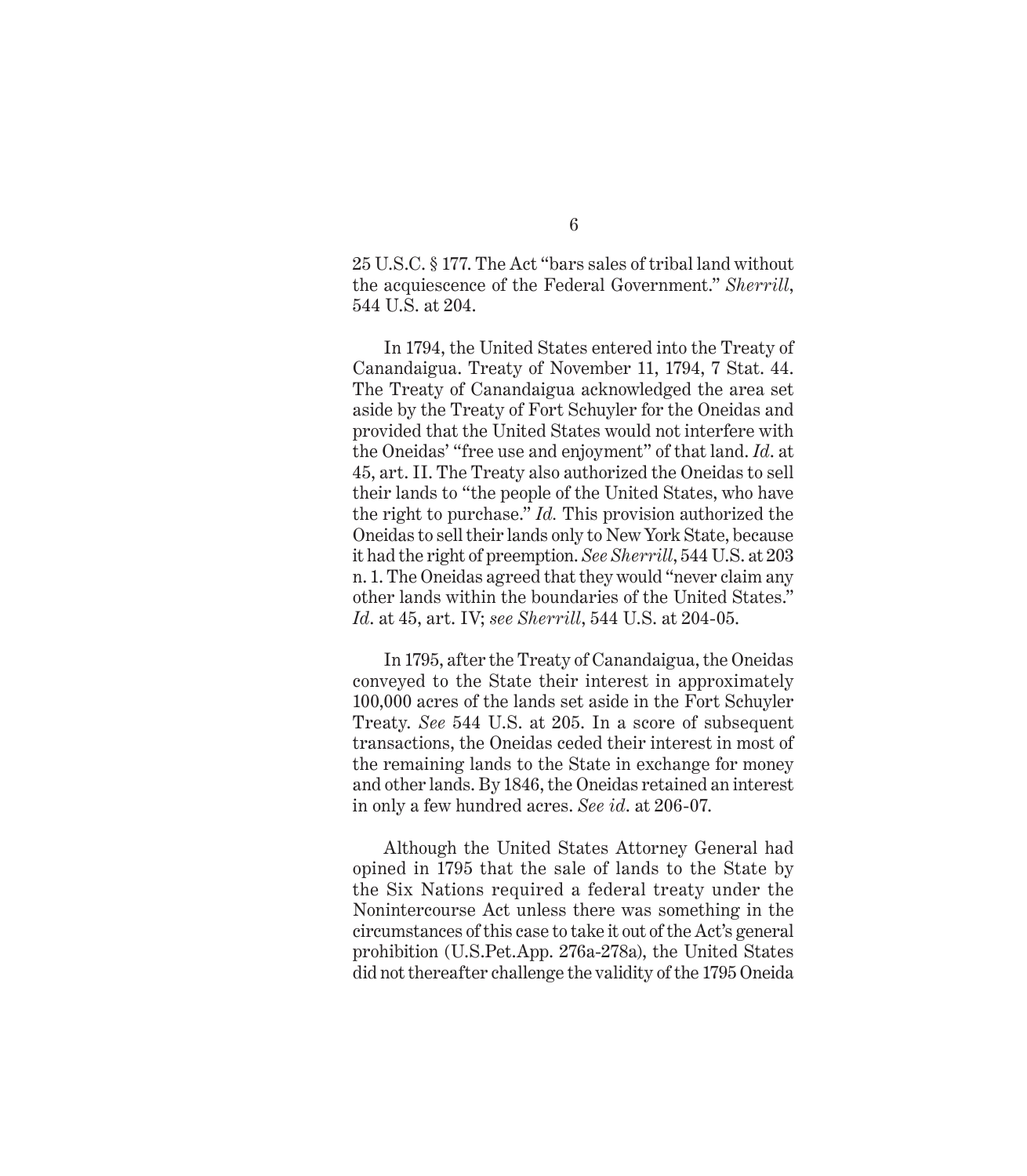25 U.S.C. § 177. The Act "bars sales of tribal land without the acquiescence of the Federal Government." *Sherrill*, 544 U.S. at 204.

In 1794, the United States entered into the Treaty of Canandaigua. Treaty of November 11, 1794, 7 Stat. 44. The Treaty of Canandaigua acknowledged the area set aside by the Treaty of Fort Schuyler for the Oneidas and provided that the United States would not interfere with the Oneidas' "free use and enjoyment" of that land. *Id*. at 45, art. II. The Treaty also authorized the Oneidas to sell their lands to "the people of the United States, who have the right to purchase." *Id.* This provision authorized the Oneidas to sell their lands only to New York State, because it had the right of preemption. *See Sherrill*, 544 U.S. at 203 n. 1. The Oneidas agreed that they would "never claim any other lands within the boundaries of the United States." *Id*. at 45, art. IV; *see Sherrill*, 544 U.S. at 204-05.

In 1795, after the Treaty of Canandaigua, the Oneidas conveyed to the State their interest in approximately 100,000 acres of the lands set aside in the Fort Schuyler Treaty. *See* 544 U.S. at 205. In a score of subsequent transactions, the Oneidas ceded their interest in most of the remaining lands to the State in exchange for money and other lands. By 1846, the Oneidas retained an interest in only a few hundred acres. *See id*. at 206-07.

Although the United States Attorney General had opined in 1795 that the sale of lands to the State by the Six Nations required a federal treaty under the Nonintercourse Act unless there was something in the circumstances of this case to take it out of the Act's general prohibition (U.S.Pet.App. 276a-278a), the United States did not thereafter challenge the validity of the 1795 Oneida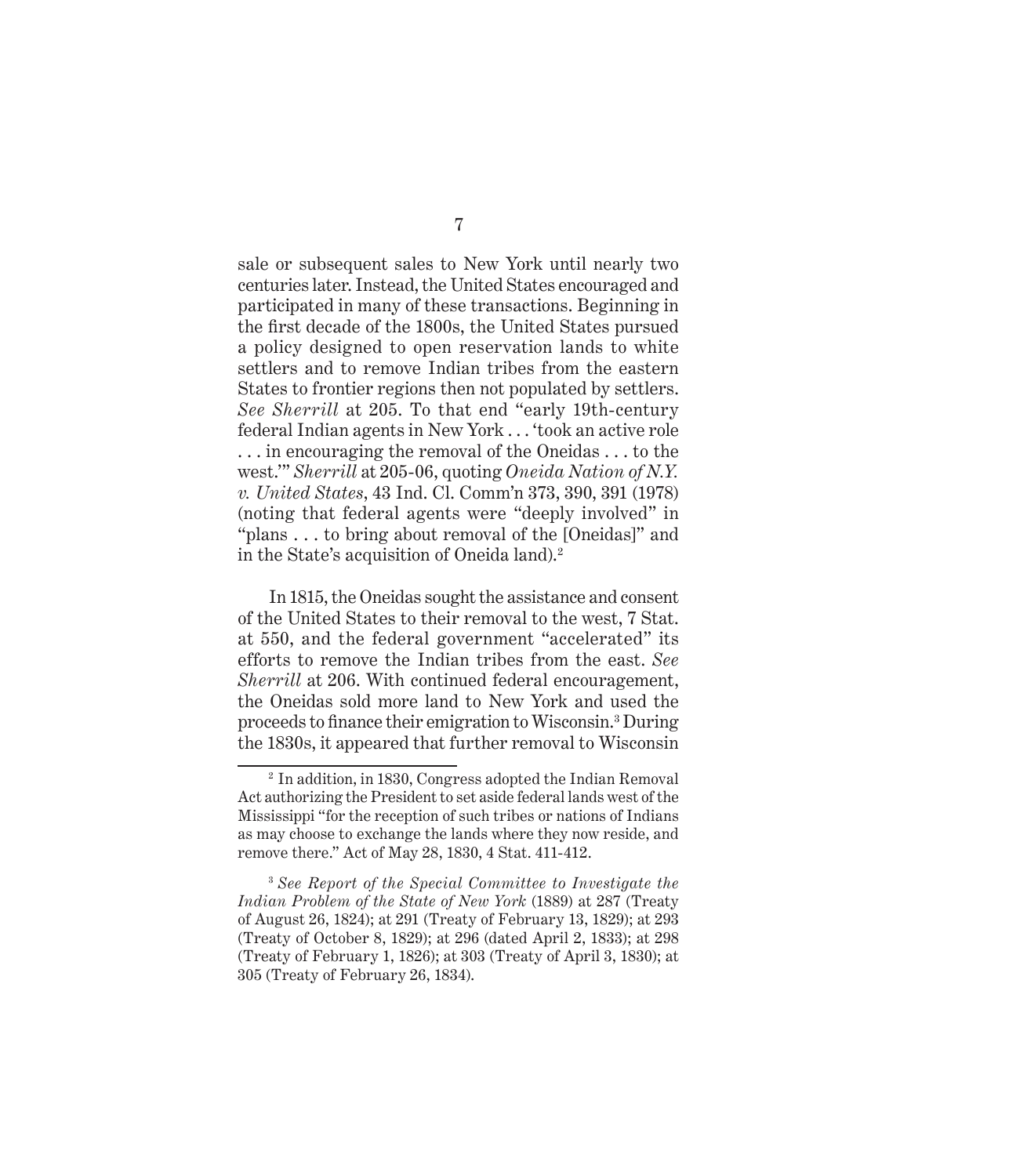sale or subsequent sales to New York until nearly two centuries later. Instead, the United States encouraged and participated in many of these transactions. Beginning in the first decade of the 1800s, the United States pursued a policy designed to open reservation lands to white settlers and to remove Indian tribes from the eastern States to frontier regions then not populated by settlers. *See Sherrill* at 205. To that end "early 19th-century federal Indian agents in New York . . . 'took an active role . . . in encouraging the removal of the Oneidas . . . to the west.'" *Sherrill* at 205-06, quoting *Oneida Nation of N.Y. v. United States*, 43 Ind. Cl. Comm'n 373, 390, 391 (1978) (noting that federal agents were "deeply involved" in "plans . . . to bring about removal of the [Oneidas]" and in the State's acquisition of Oneida land).2

In 1815, the Oneidas sought the assistance and consent of the United States to their removal to the west, 7 Stat. at 550, and the federal government "accelerated" its efforts to remove the Indian tribes from the east. *See Sherrill* at 206. With continued federal encouragement, the Oneidas sold more land to New York and used the proceeds to finance their emigration to Wisconsin.<sup>3</sup> During the 1830s, it appeared that further removal to Wisconsin

<sup>2</sup> In addition, in 1830, Congress adopted the Indian Removal Act authorizing the President to set aside federal lands west of the Mississippi "for the reception of such tribes or nations of Indians as may choose to exchange the lands where they now reside, and remove there." Act of May 28, 1830, 4 Stat. 411-412.

<sup>3</sup>*See Report of the Special Committee to Investigate the Indian Problem of the State of New York* (1889) at 287 (Treaty of August 26, 1824); at 291 (Treaty of February 13, 1829); at 293 (Treaty of October 8, 1829); at 296 (dated April 2, 1833); at 298 (Treaty of February 1, 1826); at 303 (Treaty of April 3, 1830); at 305 (Treaty of February 26, 1834).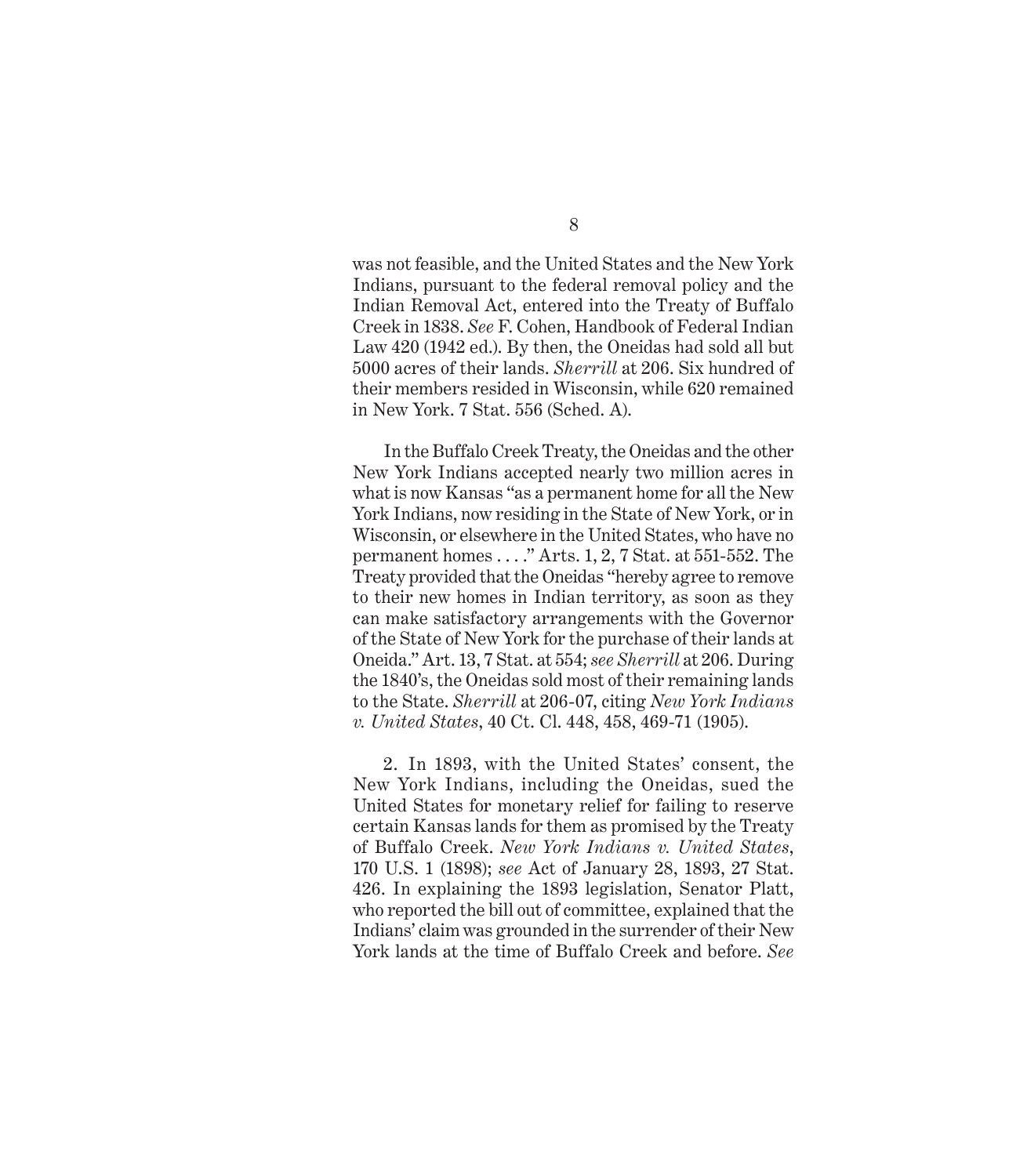was not feasible, and the United States and the New York Indians, pursuant to the federal removal policy and the Indian Removal Act, entered into the Treaty of Buffalo Creek in 1838. *See* F. Cohen, Handbook of Federal Indian Law 420 (1942 ed.). By then, the Oneidas had sold all but 5000 acres of their lands. *Sherrill* at 206. Six hundred of their members resided in Wisconsin, while 620 remained in New York. 7 Stat. 556 (Sched. A).

In the Buffalo Creek Treaty, the Oneidas and the other New York Indians accepted nearly two million acres in what is now Kansas "as a permanent home for all the New York Indians, now residing in the State of New York, or in Wisconsin, or elsewhere in the United States, who have no permanent homes . . . ." Arts. 1, 2, 7 Stat. at 551-552. The Treaty provided that the Oneidas "hereby agree to remove to their new homes in Indian territory, as soon as they can make satisfactory arrangements with the Governor of the State of New York for the purchase of their lands at Oneida." Art. 13, 7 Stat. at 554; *see Sherrill* at 206. During the 1840's, the Oneidas sold most of their remaining lands to the State. *Sherrill* at 206-07, citing *New York Indians v. United States*, 40 Ct. Cl. 448, 458, 469-71 (1905).

2. In 1893, with the United States' consent, the New York Indians, including the Oneidas, sued the United States for monetary relief for failing to reserve certain Kansas lands for them as promised by the Treaty of Buffalo Creek. *New York Indians v. United States*, 170 U.S. 1 (1898); *see* Act of January 28, 1893, 27 Stat. 426. In explaining the 1893 legislation, Senator Platt, who reported the bill out of committee, explained that the Indians' claim was grounded in the surrender of their New York lands at the time of Buffalo Creek and before. *See*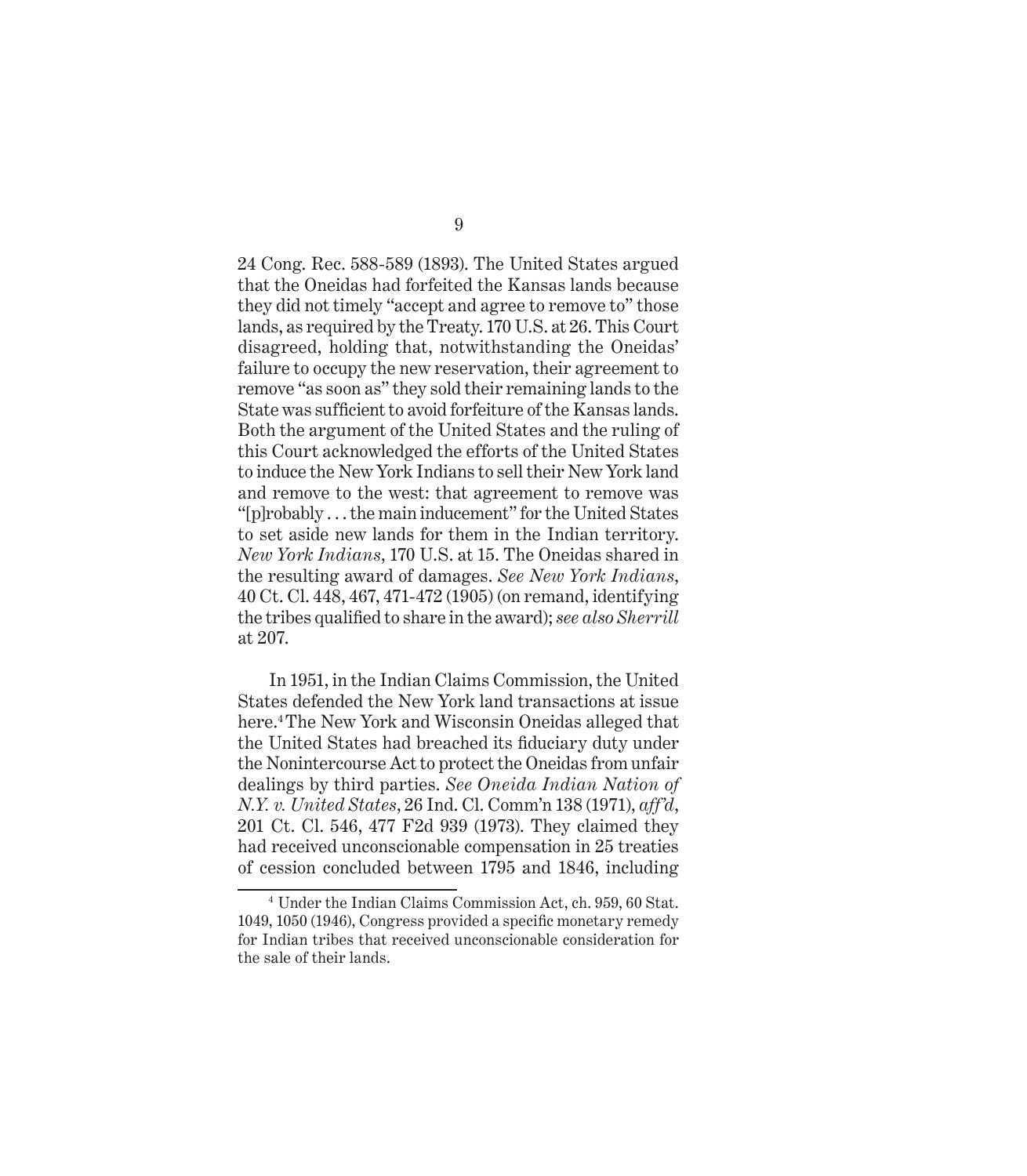24 Cong. Rec. 588-589 (1893). The United States argued that the Oneidas had forfeited the Kansas lands because they did not timely "accept and agree to remove to" those lands, as required by the Treaty. 170 U.S. at 26. This Court disagreed, holding that, notwithstanding the Oneidas' failure to occupy the new reservation, their agreement to remove "as soon as" they sold their remaining lands to the State was sufficient to avoid forfeiture of the Kansas lands. Both the argument of the United States and the ruling of this Court acknowledged the efforts of the United States to induce the New York Indians to sell their New York land and remove to the west: that agreement to remove was "[p]robably . . . the main inducement" for the United States to set aside new lands for them in the Indian territory. *New York Indians*, 170 U.S. at 15. The Oneidas shared in the resulting award of damages. *See New York Indians*, 40 Ct. Cl. 448, 467, 471-472 (1905) (on remand, identifying the tribes qualified to share in the award); *see also Sherrill* at 207.

In 1951, in the Indian Claims Commission, the United States defended the New York land transactions at issue here.<sup>4</sup> The New York and Wisconsin Oneidas alleged that the United States had breached its fiduciary duty under the Nonintercourse Act to protect the Oneidas from unfair dealings by third parties. *See Oneida Indian Nation of N.Y. v. United States*, 26 Ind. Cl. Comm'n 138 (1971), *aff'd*, 201 Ct. Cl. 546, 477 F2d 939 (1973). They claimed they had received unconscionable compensation in 25 treaties of cession concluded between 1795 and 1846, including

<sup>4</sup> Under the Indian Claims Commission Act, ch. 959, 60 Stat. 1049, 1050 (1946), Congress provided a specific monetary remedy for Indian tribes that received unconscionable consideration for the sale of their lands.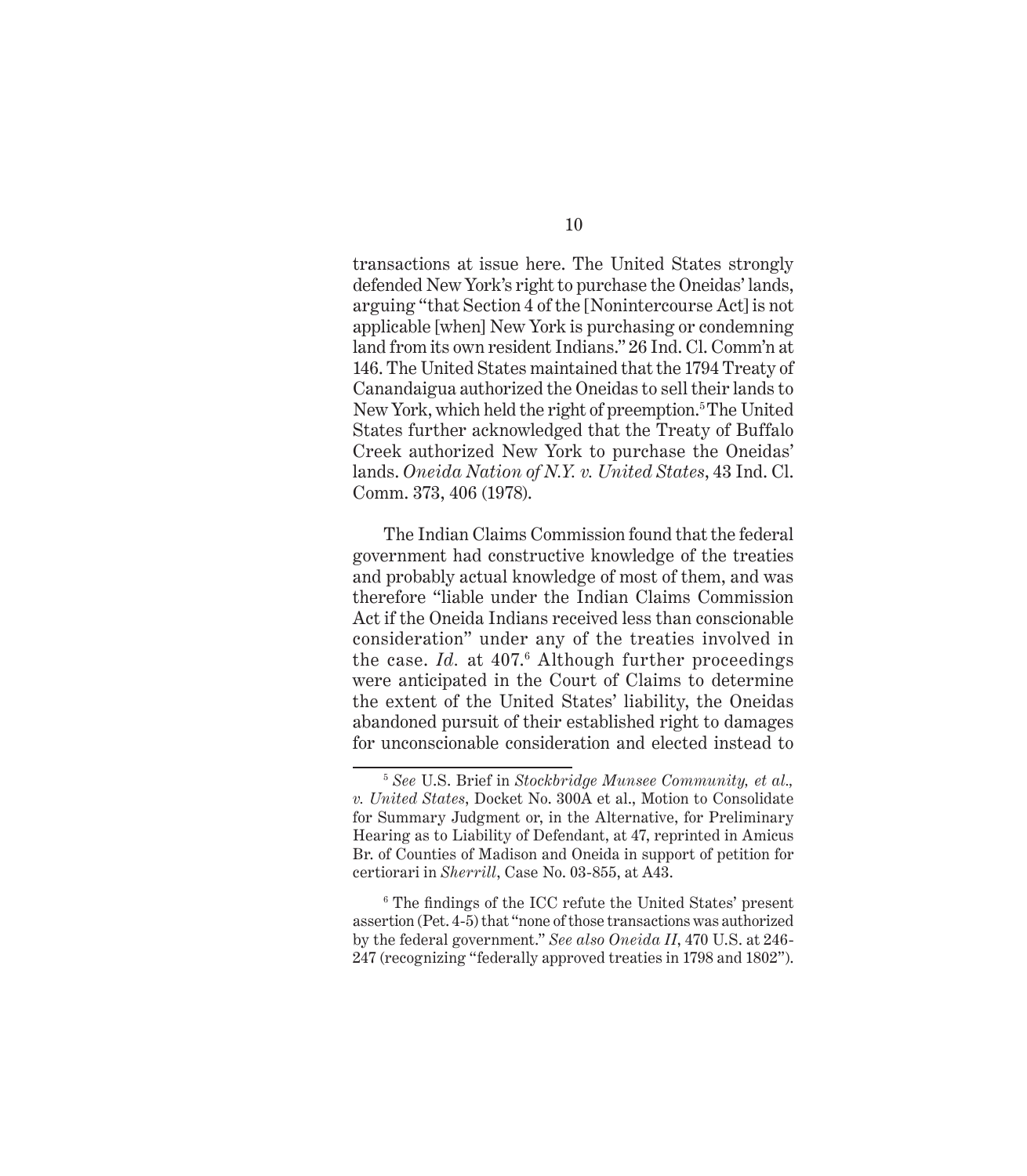transactions at issue here. The United States strongly defended New York's right to purchase the Oneidas' lands, arguing "that Section 4 of the [Nonintercourse Act] is not applicable [when] New York is purchasing or condemning land from its own resident Indians." 26 Ind. Cl. Comm'n at 146. The United States maintained that the 1794 Treaty of Canandaigua authorized the Oneidas to sell their lands to New York, which held the right of preemption.<sup>5</sup> The United States further acknowledged that the Treaty of Buffalo Creek authorized New York to purchase the Oneidas' lands. *Oneida Nation of N.Y. v. United States*, 43 Ind. Cl. Comm. 373, 406 (1978).

The Indian Claims Commission found that the federal government had constructive knowledge of the treaties and probably actual knowledge of most of them, and was therefore "liable under the Indian Claims Commission Act if the Oneida Indians received less than conscionable consideration" under any of the treaties involved in the case. *Id.* at 407.<sup>6</sup> Although further proceedings were anticipated in the Court of Claims to determine the extent of the United States' liability, the Oneidas abandoned pursuit of their established right to damages for unconscionable consideration and elected instead to

<sup>5</sup>*See* U.S. Brief in *Stockbridge Munsee Community, et al., v. United States*, Docket No. 300A et al., Motion to Consolidate for Summary Judgment or, in the Alternative, for Preliminary Hearing as to Liability of Defendant, at 47, reprinted in Amicus Br. of Counties of Madison and Oneida in support of petition for certiorari in *Sherrill*, Case No. 03-855, at A43.

 $6$  The findings of the ICC refute the United States' present assertion (Pet. 4-5) that "none of those transactions was authorized by the federal government." *See also Oneida II*, 470 U.S. at 246- 247 (recognizing "federally approved treaties in 1798 and 1802").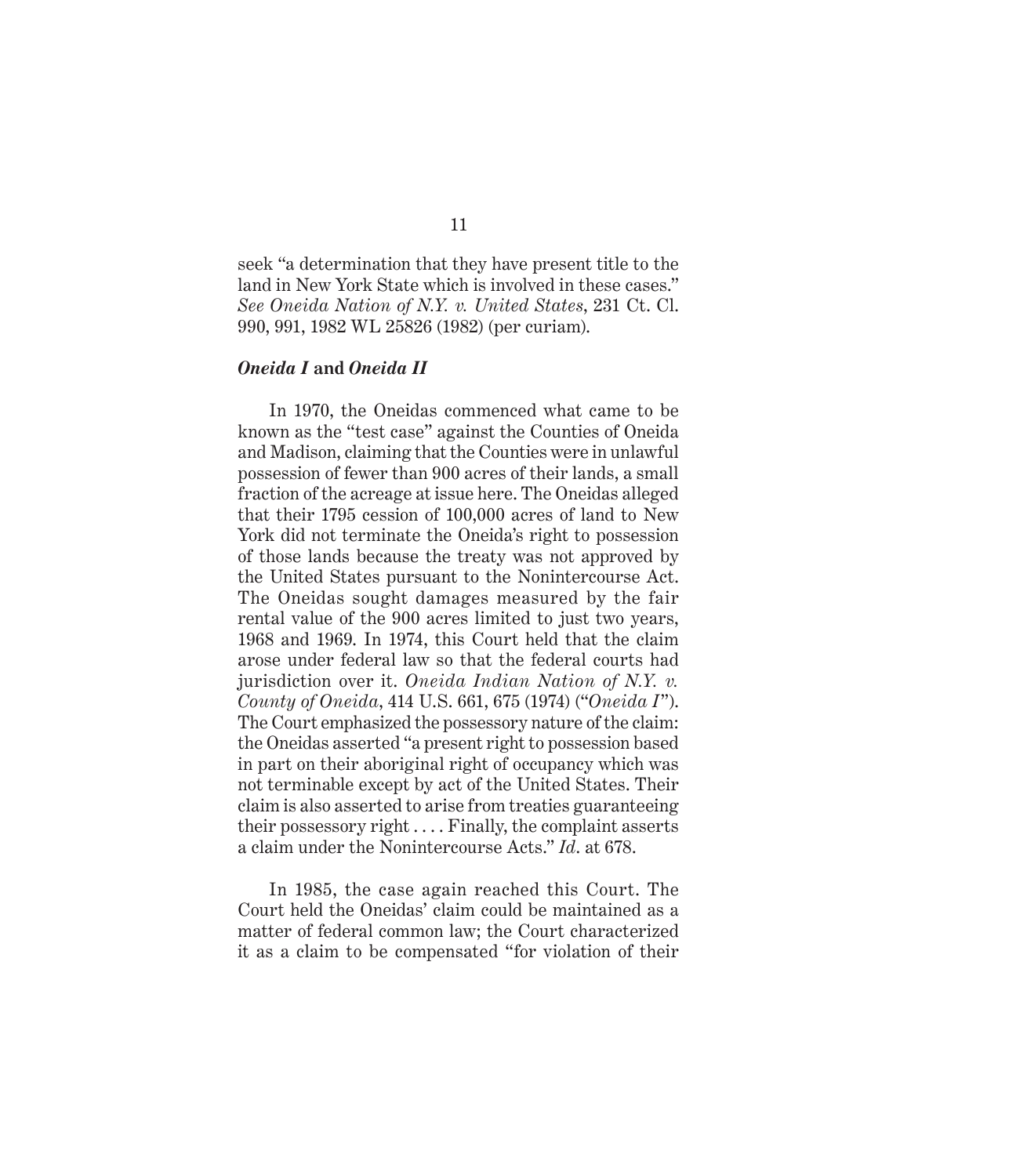seek "a determination that they have present title to the land in New York State which is involved in these cases." *See Oneida Nation of N.Y. v. United States*, 231 Ct. Cl. 990, 991, 1982 WL 25826 (1982) (per curiam).

### *Oneida I* **and** *Oneida II*

In 1970, the Oneidas commenced what came to be known as the "test case" against the Counties of Oneida and Madison, claiming that the Counties were in unlawful possession of fewer than 900 acres of their lands, a small fraction of the acreage at issue here. The Oneidas alleged that their 1795 cession of 100,000 acres of land to New York did not terminate the Oneida's right to possession of those lands because the treaty was not approved by the United States pursuant to the Nonintercourse Act. The Oneidas sought damages measured by the fair rental value of the 900 acres limited to just two years, 1968 and 1969. In 1974, this Court held that the claim arose under federal law so that the federal courts had jurisdiction over it. *Oneida Indian Nation of N.Y. v. County of Oneida*, 414 U.S. 661, 675 (1974) ("*Oneida I*"). The Court emphasized the possessory nature of the claim: the Oneidas asserted "a present right to possession based in part on their aboriginal right of occupancy which was not terminable except by act of the United States. Their claim is also asserted to arise from treaties guaranteeing their possessory right . . . . Finally, the complaint asserts a claim under the Nonintercourse Acts." *Id*. at 678.

In 1985, the case again reached this Court. The Court held the Oneidas' claim could be maintained as a matter of federal common law; the Court characterized it as a claim to be compensated "for violation of their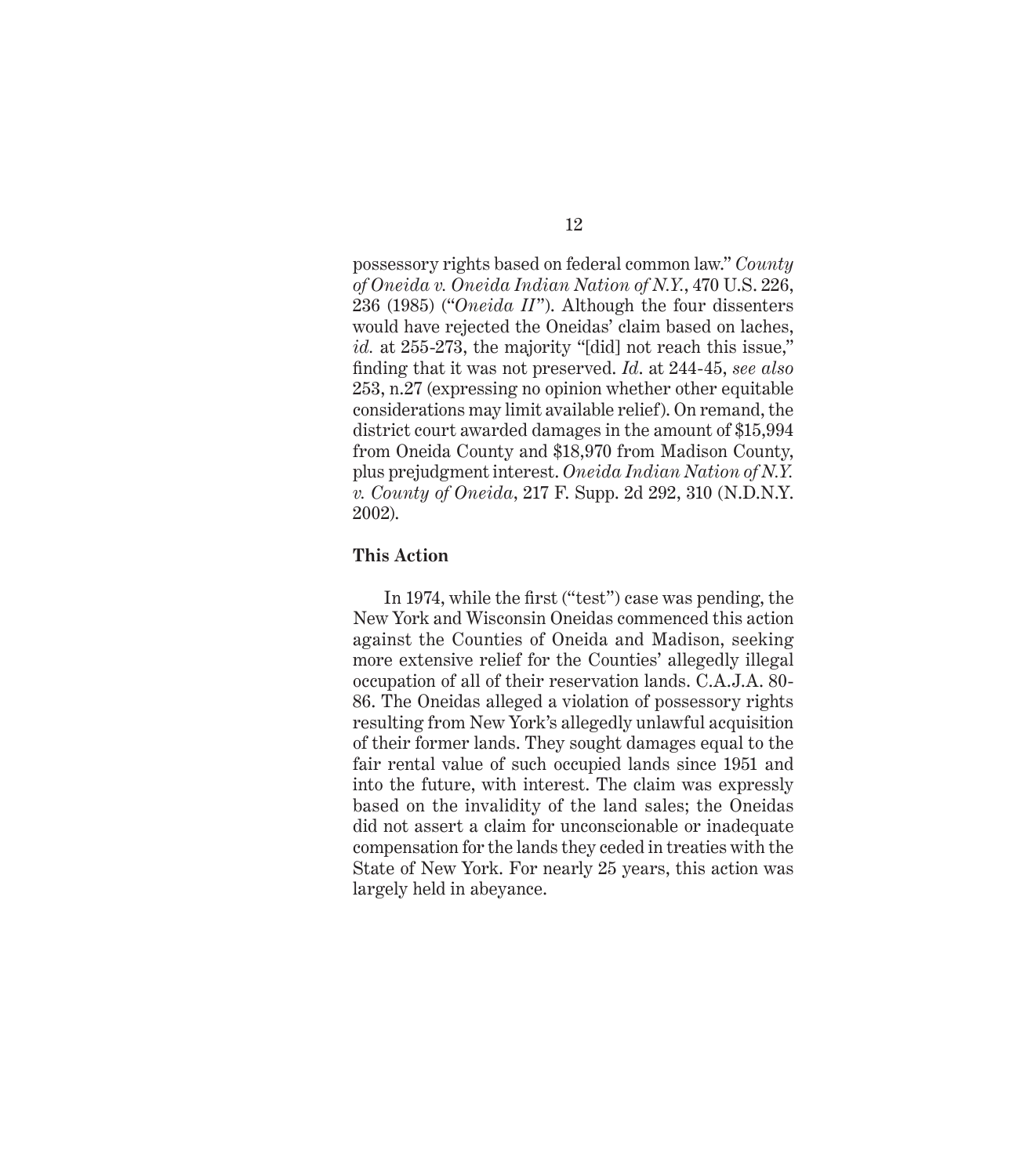12

possessory rights based on federal common law." *County of Oneida v. Oneida Indian Nation of N.Y.*, 470 U.S. 226, 236 (1985) ("*Oneida II*"). Although the four dissenters would have rejected the Oneidas' claim based on laches, id. at 255-273, the majority "[did] not reach this issue," fi nding that it was not preserved. *Id*. at 244-45, *see also*  253, n.27 (expressing no opinion whether other equitable considerations may limit available relief). On remand, the district court awarded damages in the amount of \$15,994 from Oneida County and \$18,970 from Madison County, plus prejudgment interest. *Oneida Indian Nation of N.Y. v. County of Oneida*, 217 F. Supp. 2d 292, 310 (N.D.N.Y. 2002).

### **This Action**

In 1974, while the first ("test") case was pending, the New York and Wisconsin Oneidas commenced this action against the Counties of Oneida and Madison, seeking more extensive relief for the Counties' allegedly illegal occupation of all of their reservation lands. C.A.J.A. 80- 86. The Oneidas alleged a violation of possessory rights resulting from New York's allegedly unlawful acquisition of their former lands. They sought damages equal to the fair rental value of such occupied lands since 1951 and into the future, with interest. The claim was expressly based on the invalidity of the land sales; the Oneidas did not assert a claim for unconscionable or inadequate compensation for the lands they ceded in treaties with the State of New York. For nearly 25 years, this action was largely held in abeyance.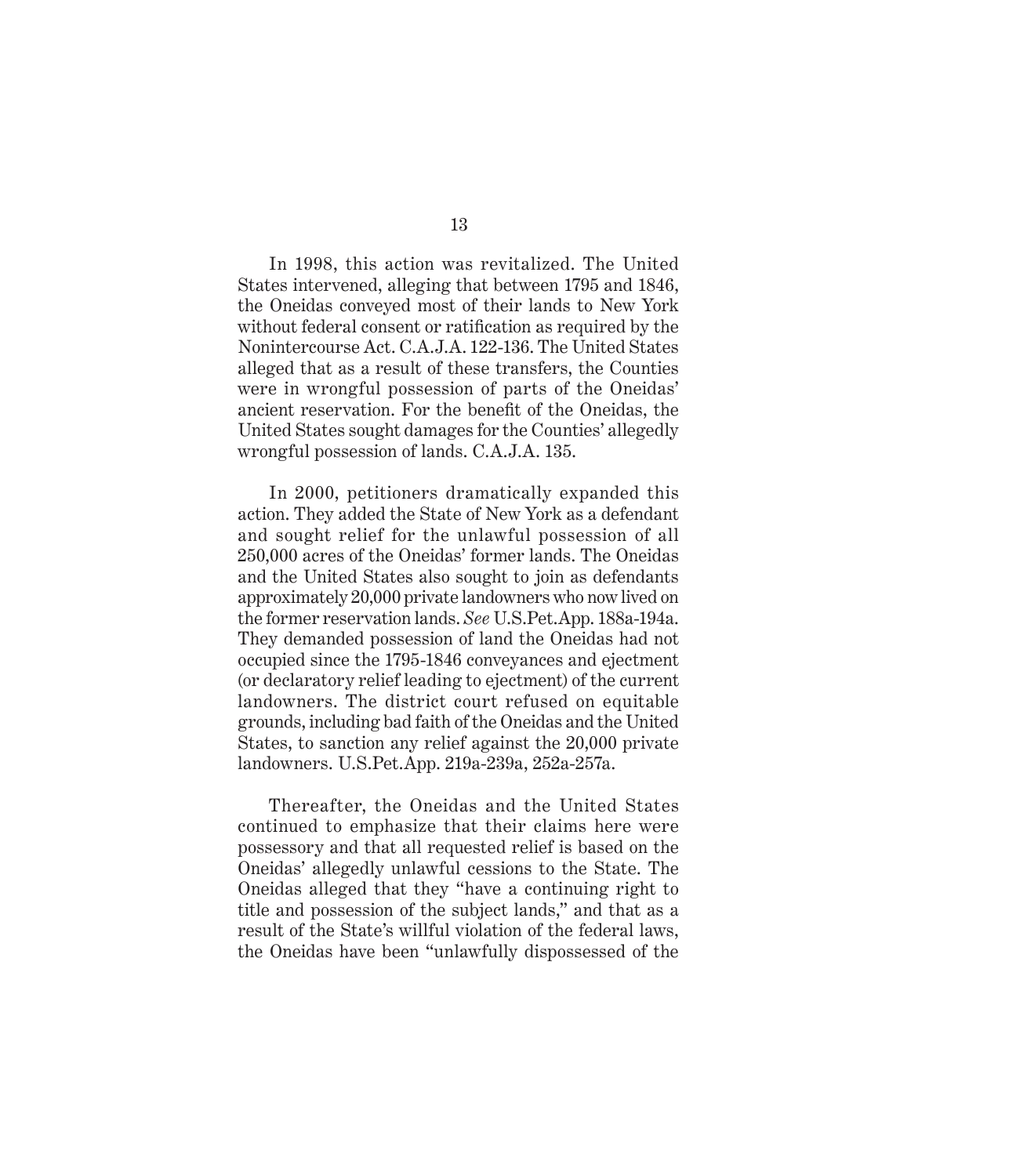In 1998, this action was revitalized. The United States intervened, alleging that between 1795 and 1846, the Oneidas conveyed most of their lands to New York without federal consent or ratification as required by the Nonintercourse Act. C.A.J.A. 122-136. The United States alleged that as a result of these transfers, the Counties were in wrongful possession of parts of the Oneidas' ancient reservation. For the benefit of the Oneidas, the United States sought damages for the Counties' allegedly wrongful possession of lands. C.A.J.A. 135.

In 2000, petitioners dramatically expanded this action. They added the State of New York as a defendant and sought relief for the unlawful possession of all 250,000 acres of the Oneidas' former lands. The Oneidas and the United States also sought to join as defendants approximately 20,000 private landowners who now lived on the former reservation lands. *See* U.S.Pet.App. 188a-194a. They demanded possession of land the Oneidas had not occupied since the 1795-1846 conveyances and ejectment (or declaratory relief leading to ejectment) of the current landowners. The district court refused on equitable grounds, including bad faith of the Oneidas and the United States, to sanction any relief against the 20,000 private landowners. U.S.Pet.App. 219a-239a, 252a-257a.

Thereafter, the Oneidas and the United States continued to emphasize that their claims here were possessory and that all requested relief is based on the Oneidas' allegedly unlawful cessions to the State. The Oneidas alleged that they "have a continuing right to title and possession of the subject lands," and that as a result of the State's willful violation of the federal laws, the Oneidas have been "unlawfully dispossessed of the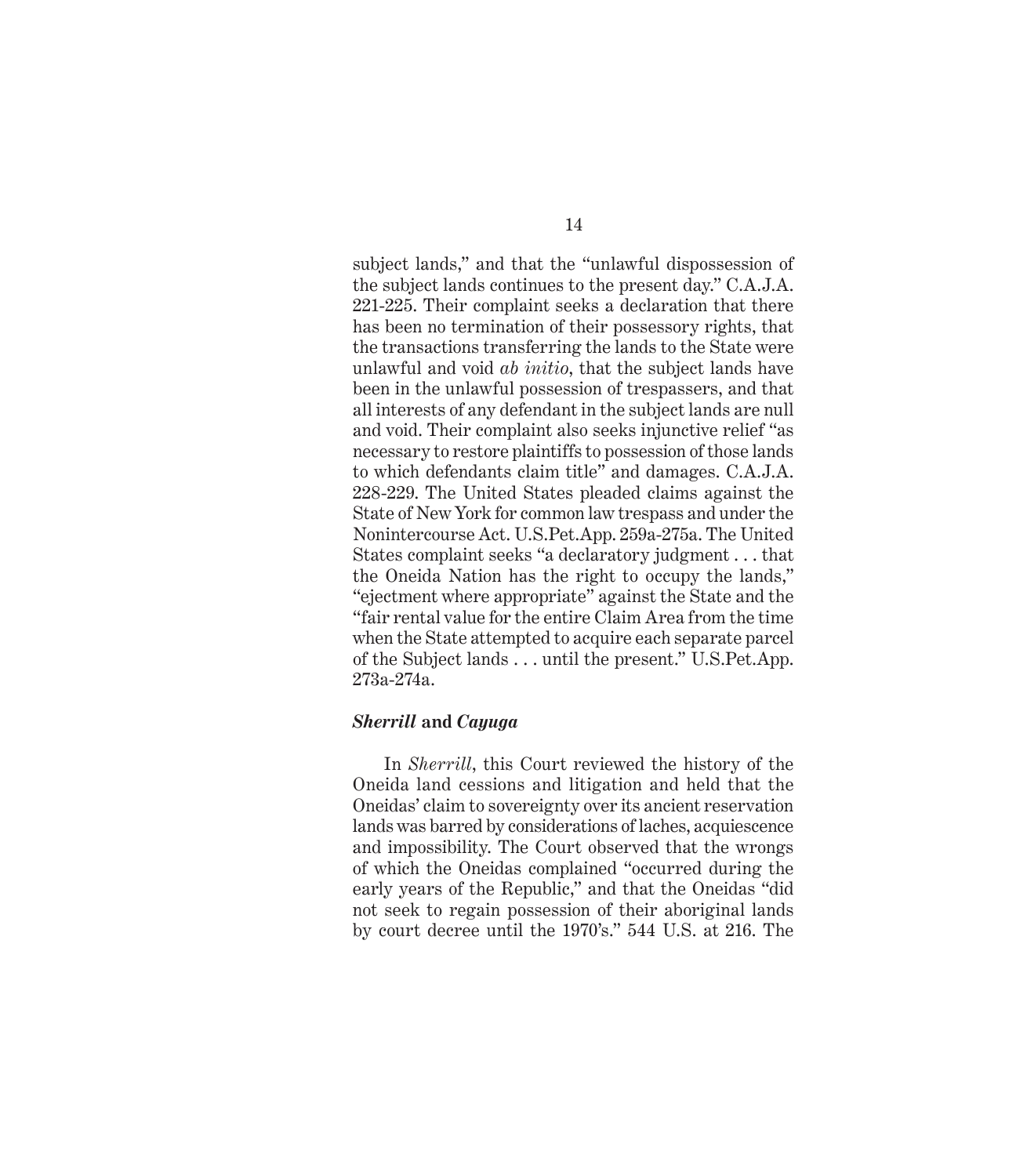subject lands," and that the "unlawful dispossession of the subject lands continues to the present day." C.A.J.A. 221-225. Their complaint seeks a declaration that there has been no termination of their possessory rights, that the transactions transferring the lands to the State were unlawful and void *ab initio*, that the subject lands have been in the unlawful possession of trespassers, and that all interests of any defendant in the subject lands are null and void. Their complaint also seeks injunctive relief "as necessary to restore plaintiffs to possession of those lands to which defendants claim title" and damages. C.A.J.A. 228-229. The United States pleaded claims against the State of New York for common law trespass and under the Nonintercourse Act. U.S.Pet.App. 259a-275a. The United States complaint seeks "a declaratory judgment . . . that the Oneida Nation has the right to occupy the lands," "ejectment where appropriate" against the State and the "fair rental value for the entire Claim Area from the time when the State attempted to acquire each separate parcel of the Subject lands . . . until the present." U.S.Pet.App. 273a-274a.

### *Sherrill* **and** *Cayuga*

In *Sherrill*, this Court reviewed the history of the Oneida land cessions and litigation and held that the Oneidas' claim to sovereignty over its ancient reservation lands was barred by considerations of laches, acquiescence and impossibility. The Court observed that the wrongs of which the Oneidas complained "occurred during the early years of the Republic," and that the Oneidas "did not seek to regain possession of their aboriginal lands by court decree until the 1970's." 544 U.S. at 216. The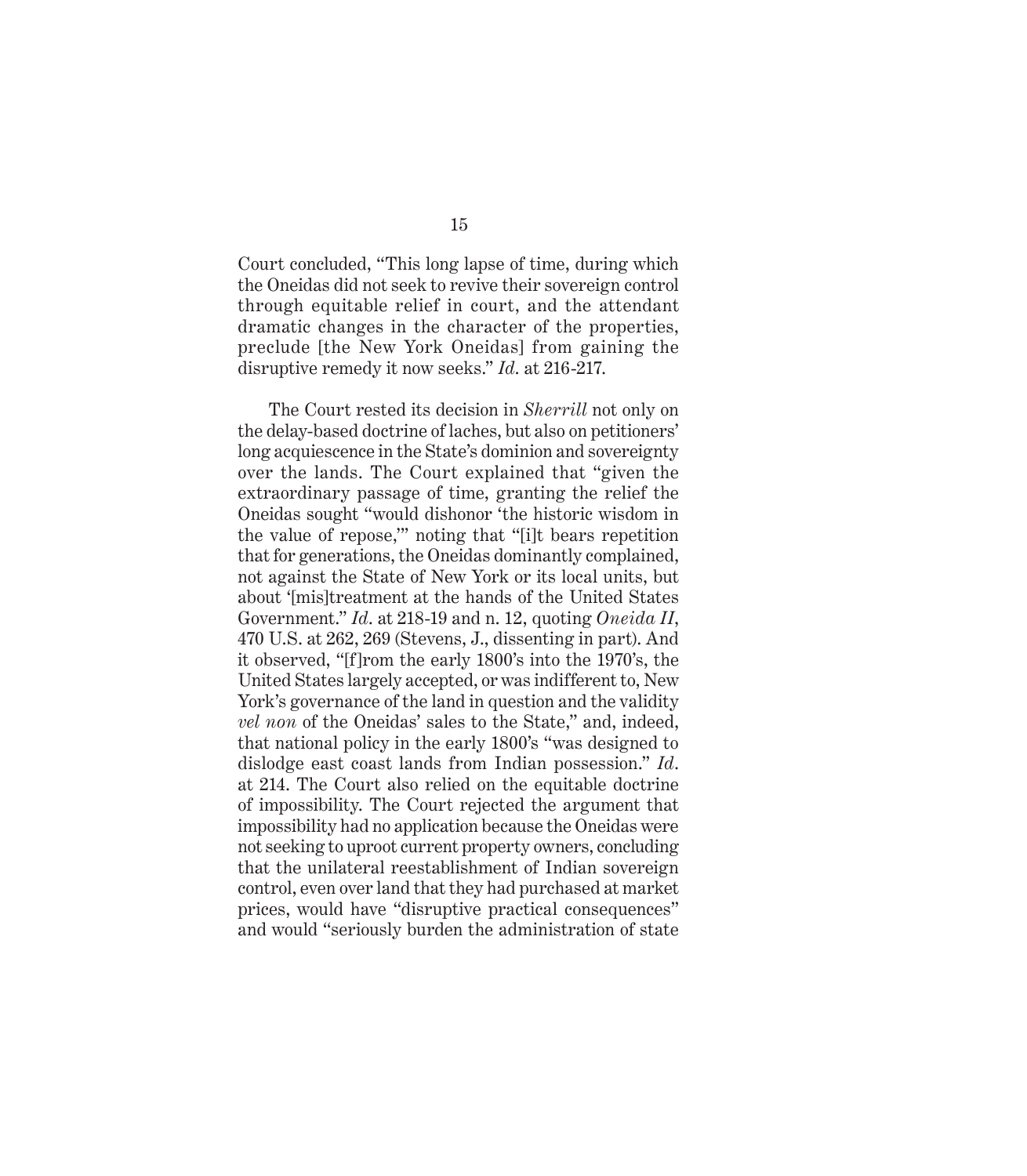Court concluded, "This long lapse of time, during which the Oneidas did not seek to revive their sovereign control through equitable relief in court, and the attendant dramatic changes in the character of the properties, preclude [the New York Oneidas] from gaining the disruptive remedy it now seeks." *Id*. at 216-217.

The Court rested its decision in *Sherrill* not only on the delay-based doctrine of laches, but also on petitioners' long acquiescence in the State's dominion and sovereignty over the lands. The Court explained that "given the extraordinary passage of time, granting the relief the Oneidas sought "would dishonor 'the historic wisdom in the value of repose,'" noting that "[i]t bears repetition that for generations, the Oneidas dominantly complained, not against the State of New York or its local units, but about '[mis]treatment at the hands of the United States Government." *Id*. at 218-19 and n. 12, quoting *Oneida II*, 470 U.S. at 262, 269 (Stevens, J., dissenting in part). And it observed, "[f]rom the early 1800's into the 1970's, the United States largely accepted, or was indifferent to, New York's governance of the land in question and the validity *vel non* of the Oneidas' sales to the State," and, indeed, that national policy in the early 1800's "was designed to dislodge east coast lands from Indian possession." *Id*. at 214. The Court also relied on the equitable doctrine of impossibility. The Court rejected the argument that impossibility had no application because the Oneidas were not seeking to uproot current property owners, concluding that the unilateral reestablishment of Indian sovereign control, even over land that they had purchased at market prices, would have "disruptive practical consequences" and would "seriously burden the administration of state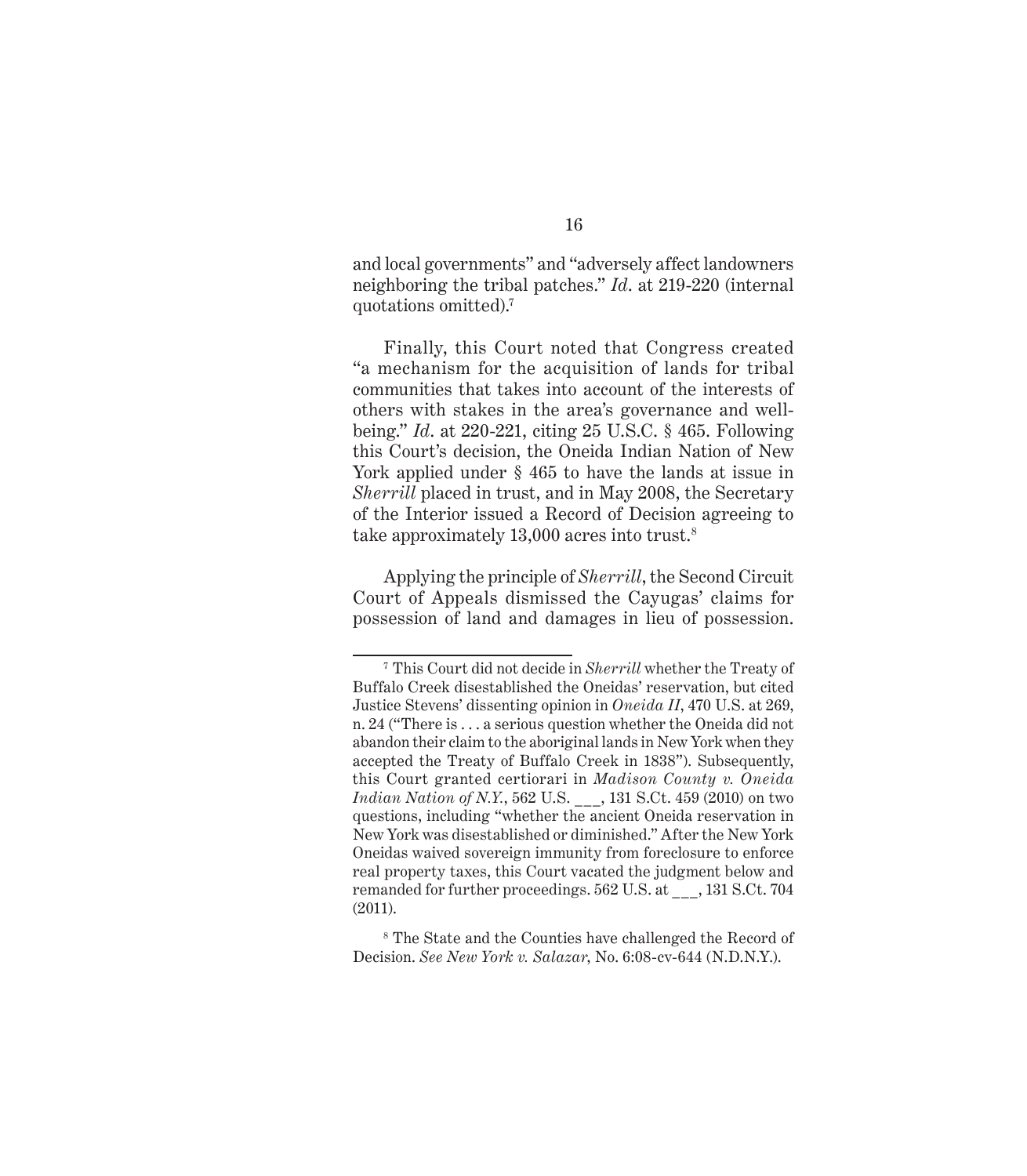and local governments" and "adversely affect landowners neighboring the tribal patches." *Id*. at 219-220 (internal quotations omitted).7

Finally, this Court noted that Congress created "a mechanism for the acquisition of lands for tribal communities that takes into account of the interests of others with stakes in the area's governance and wellbeing." *Id*. at 220-221, citing 25 U.S.C. § 465. Following this Court's decision, the Oneida Indian Nation of New York applied under § 465 to have the lands at issue in *Sherrill* placed in trust, and in May 2008, the Secretary of the Interior issued a Record of Decision agreeing to take approximately 13,000 acres into trust.<sup>8</sup>

Applying the principle of *Sherrill*, the Second Circuit Court of Appeals dismissed the Cayugas' claims for possession of land and damages in lieu of possession.

<sup>7</sup> This Court did not decide in *Sherrill* whether the Treaty of Buffalo Creek disestablished the Oneidas' reservation, but cited Justice Stevens' dissenting opinion in *Oneida II*, 470 U.S. at 269, n. 24 ("There is . . . a serious question whether the Oneida did not abandon their claim to the aboriginal lands in New York when they accepted the Treaty of Buffalo Creek in 1838"). Subsequently, this Court granted certiorari in *Madison County v. Oneida Indian Nation of N.Y.*, 562 U.S. \_\_\_, 131 S.Ct. 459 (2010) on two questions, including "whether the ancient Oneida reservation in New York was disestablished or diminished." After the New York Oneidas waived sovereign immunity from foreclosure to enforce real property taxes, this Court vacated the judgment below and remanded for further proceedings. 562 U.S. at \_\_\_, 131 S.Ct. 704 (2011).

<sup>8</sup> The State and the Counties have challenged the Record of Decision. *See New York v. Salazar*, No. 6:08-cv-644 (N.D.N.Y.).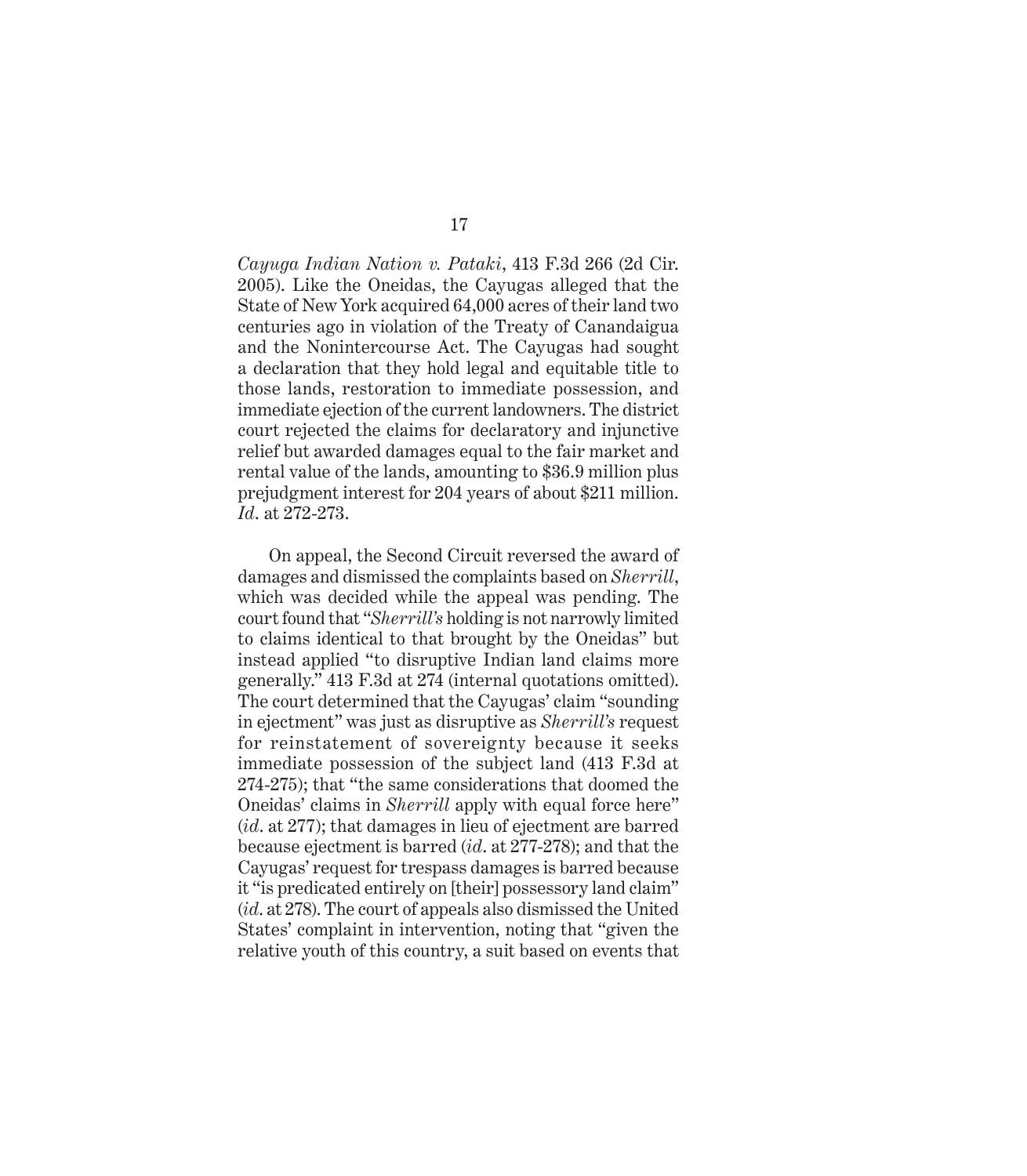*Cayuga Indian Nation v. Pataki*, 413 F.3d 266 (2d Cir. 2005). Like the Oneidas, the Cayugas alleged that the State of New York acquired 64,000 acres of their land two centuries ago in violation of the Treaty of Canandaigua and the Nonintercourse Act. The Cayugas had sought a declaration that they hold legal and equitable title to those lands, restoration to immediate possession, and immediate ejection of the current landowners. The district court rejected the claims for declaratory and injunctive relief but awarded damages equal to the fair market and rental value of the lands, amounting to \$36.9 million plus prejudgment interest for 204 years of about \$211 million. *Id*. at 272-273.

On appeal, the Second Circuit reversed the award of damages and dismissed the complaints based on *Sherrill*, which was decided while the appeal was pending. The court found that "*Sherrill's* holding is not narrowly limited to claims identical to that brought by the Oneidas" but instead applied "to disruptive Indian land claims more generally." 413 F.3d at 274 (internal quotations omitted). The court determined that the Cayugas' claim "sounding in ejectment" was just as disruptive as *Sherrill's* request for reinstatement of sovereignty because it seeks immediate possession of the subject land (413 F.3d at 274-275); that "the same considerations that doomed the Oneidas' claims in *Sherrill* apply with equal force here" (*id*. at 277); that damages in lieu of ejectment are barred because ejectment is barred (*id*. at 277-278); and that the Cayugas' request for trespass damages is barred because it "is predicated entirely on [their] possessory land claim" (*id*. at 278). The court of appeals also dismissed the United States' complaint in intervention, noting that "given the relative youth of this country, a suit based on events that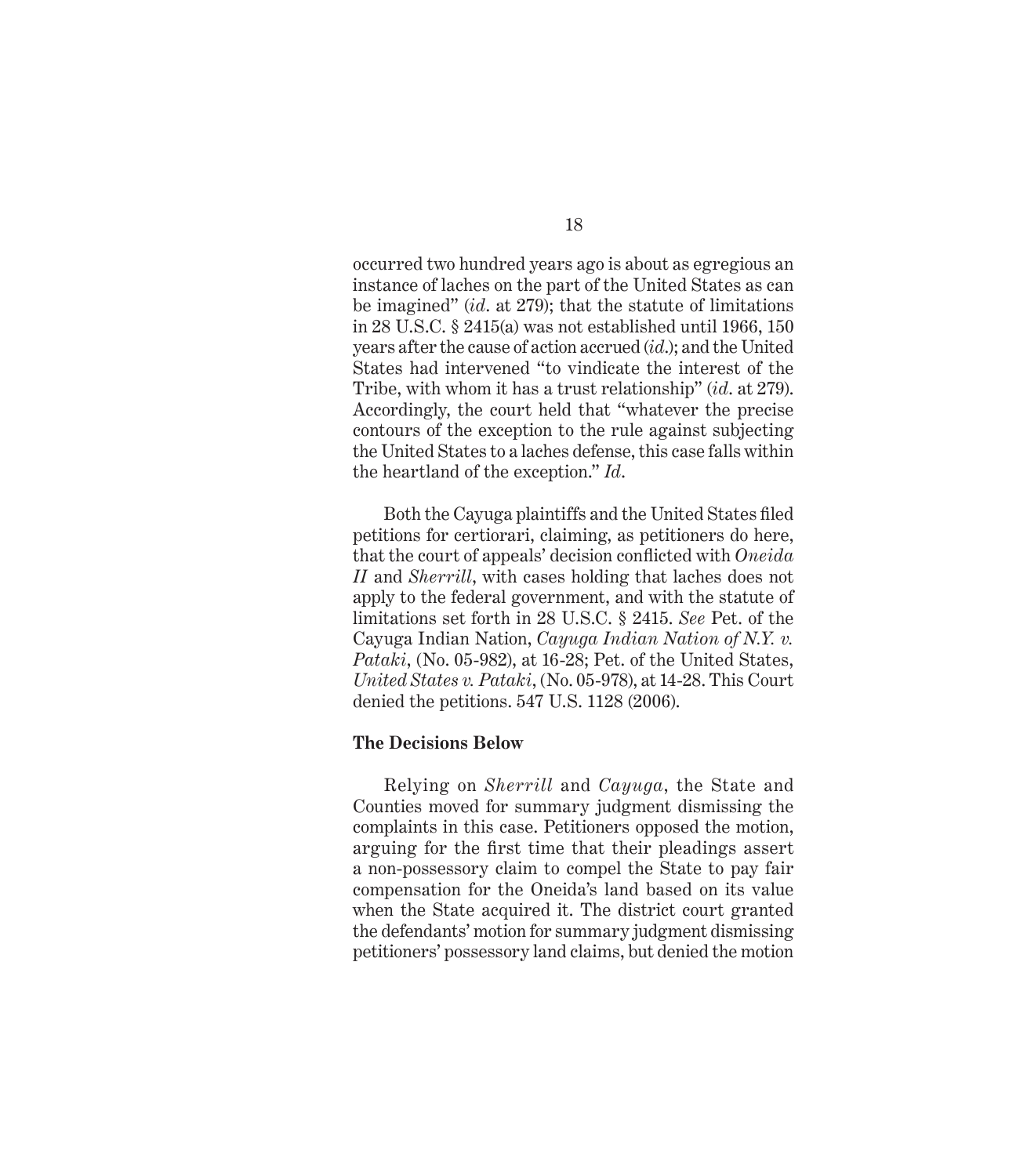occurred two hundred years ago is about as egregious an instance of laches on the part of the United States as can be imagined" (*id*. at 279); that the statute of limitations in 28 U.S.C.  $\S$  2415(a) was not established until 1966, 150 years after the cause of action accrued (*id*.); and the United States had intervened "to vindicate the interest of the Tribe, with whom it has a trust relationship" (*id*. at 279). Accordingly, the court held that "whatever the precise contours of the exception to the rule against subjecting the United States to a laches defense, this case falls within the heartland of the exception." *Id*.

Both the Cayuga plaintiffs and the United States filed petitions for certiorari, claiming, as petitioners do here, that the court of appeals' decision conflicted with *Oneida II* and *Sherrill*, with cases holding that laches does not apply to the federal government, and with the statute of limitations set forth in 28 U.S.C. § 2415. *See* Pet. of the Cayuga Indian Nation, *Cayuga Indian Nation of N.Y. v. Pataki*, (No. 05-982), at 16-28; Pet. of the United States, *United States v. Pataki*, (No. 05-978), at 14-28. This Court denied the petitions. 547 U.S. 1128 (2006).

# **The Decisions Below**

Relying on *Sherrill* and *Cayuga*, the State and Counties moved for summary judgment dismissing the complaints in this case. Petitioners opposed the motion, arguing for the first time that their pleadings assert a non-possessory claim to compel the State to pay fair compensation for the Oneida's land based on its value when the State acquired it. The district court granted the defendants' motion for summary judgment dismissing petitioners' possessory land claims, but denied the motion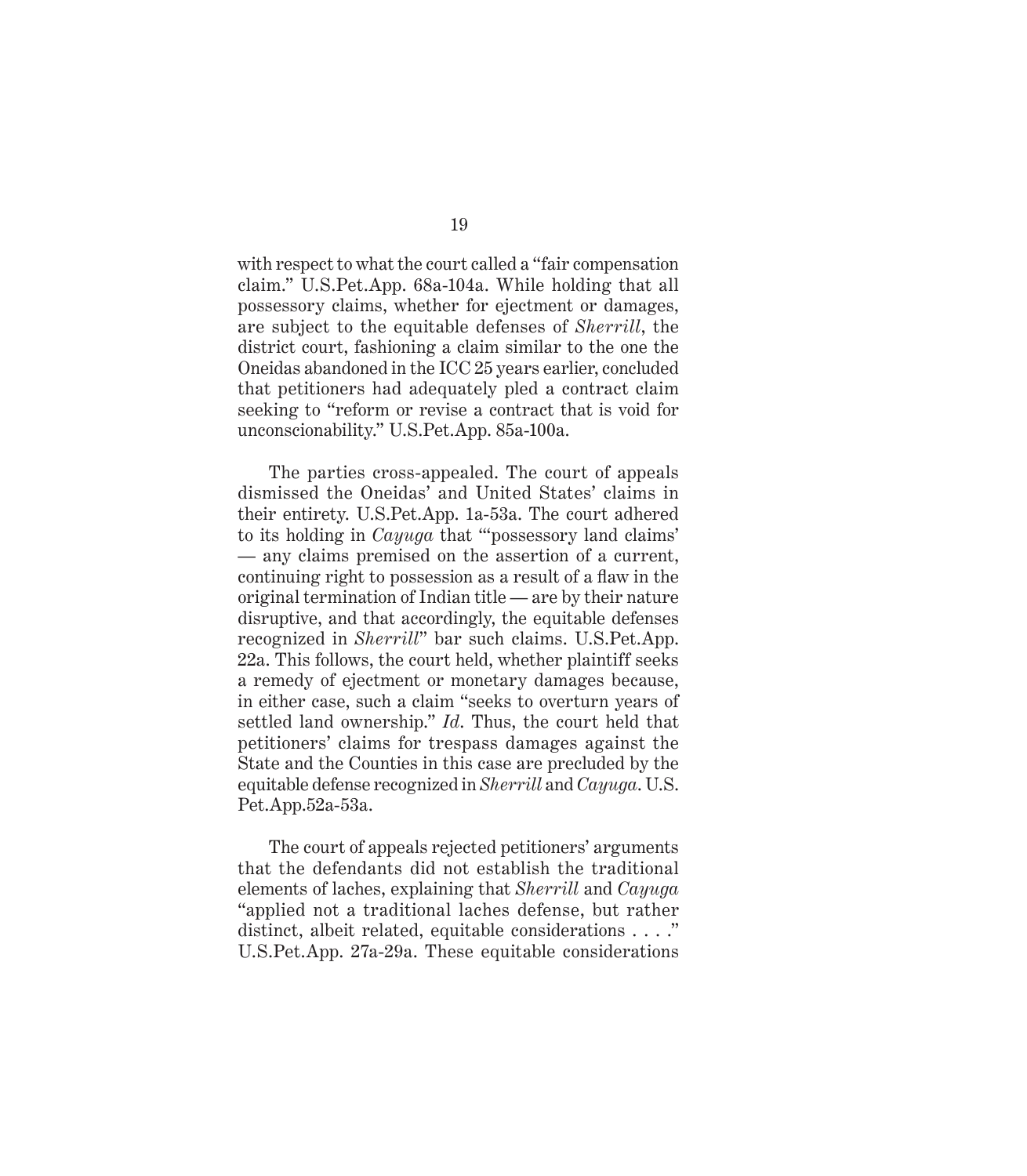with respect to what the court called a "fair compensation claim." U.S.Pet.App. 68a-104a. While holding that all possessory claims, whether for ejectment or damages, are subject to the equitable defenses of *Sherrill*, the district court, fashioning a claim similar to the one the Oneidas abandoned in the ICC 25 years earlier, concluded that petitioners had adequately pled a contract claim seeking to "reform or revise a contract that is void for unconscionability." U.S.Pet.App. 85a-100a.

The parties cross-appealed. The court of appeals dismissed the Oneidas' and United States' claims in their entirety. U.S.Pet.App. 1a-53a. The court adhered to its holding in *Cayuga* that "'possessory land claims' — any claims premised on the assertion of a current, continuing right to possession as a result of a flaw in the original termination of Indian title — are by their nature disruptive, and that accordingly, the equitable defenses recognized in *Sherrill*" bar such claims. U.S.Pet.App. 22a. This follows, the court held, whether plaintiff seeks a remedy of ejectment or monetary damages because, in either case, such a claim "seeks to overturn years of settled land ownership." *Id*. Thus, the court held that petitioners' claims for trespass damages against the State and the Counties in this case are precluded by the equitable defense recognized in *Sherrill* and *Cayuga*. U.S. Pet.App.52a-53a.

The court of appeals rejected petitioners' arguments that the defendants did not establish the traditional elements of laches, explaining that *Sherrill* and *Cayuga* "applied not a traditional laches defense, but rather distinct, albeit related, equitable considerations . . . ." U.S.Pet.App. 27a-29a. These equitable considerations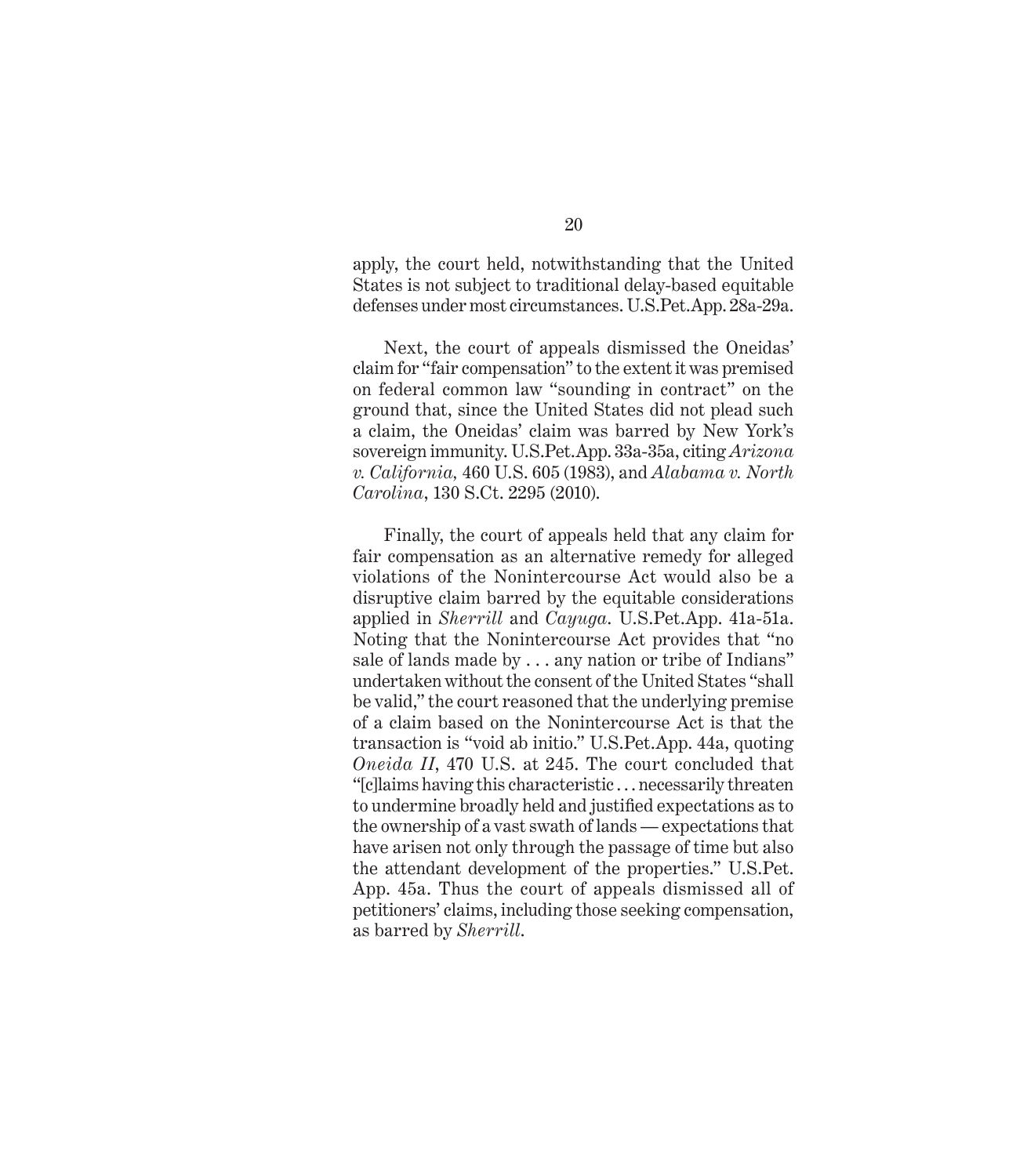apply, the court held, notwithstanding that the United States is not subject to traditional delay-based equitable defenses under most circumstances. U.S.Pet.App. 28a-29a.

Next, the court of appeals dismissed the Oneidas' claim for "fair compensation" to the extent it was premised on federal common law "sounding in contract" on the ground that, since the United States did not plead such a claim, the Oneidas' claim was barred by New York's sovereign immunity. U.S.Pet.App. 33a-35a, citing *Arizona v. California,* 460 U.S. 605 (1983), and *Alabama v. North Carolina*, 130 S.Ct. 2295 (2010).

Finally, the court of appeals held that any claim for fair compensation as an alternative remedy for alleged violations of the Nonintercourse Act would also be a disruptive claim barred by the equitable considerations applied in *Sherrill* and *Cayuga*. U.S.Pet.App. 41a-51a. Noting that the Nonintercourse Act provides that "no sale of lands made by . . . any nation or tribe of Indians" undertaken without the consent of the United States "shall be valid," the court reasoned that the underlying premise of a claim based on the Nonintercourse Act is that the transaction is "void ab initio." U.S.Pet.App. 44a, quoting *Oneida II*, 470 U.S. at 245. The court concluded that "[c]laims having this characteristic . . . necessarily threaten to undermine broadly held and justified expectations as to the ownership of a vast swath of lands — expectations that have arisen not only through the passage of time but also the attendant development of the properties." U.S.Pet. App. 45a. Thus the court of appeals dismissed all of petitioners' claims, including those seeking compensation, as barred by *Sherrill*.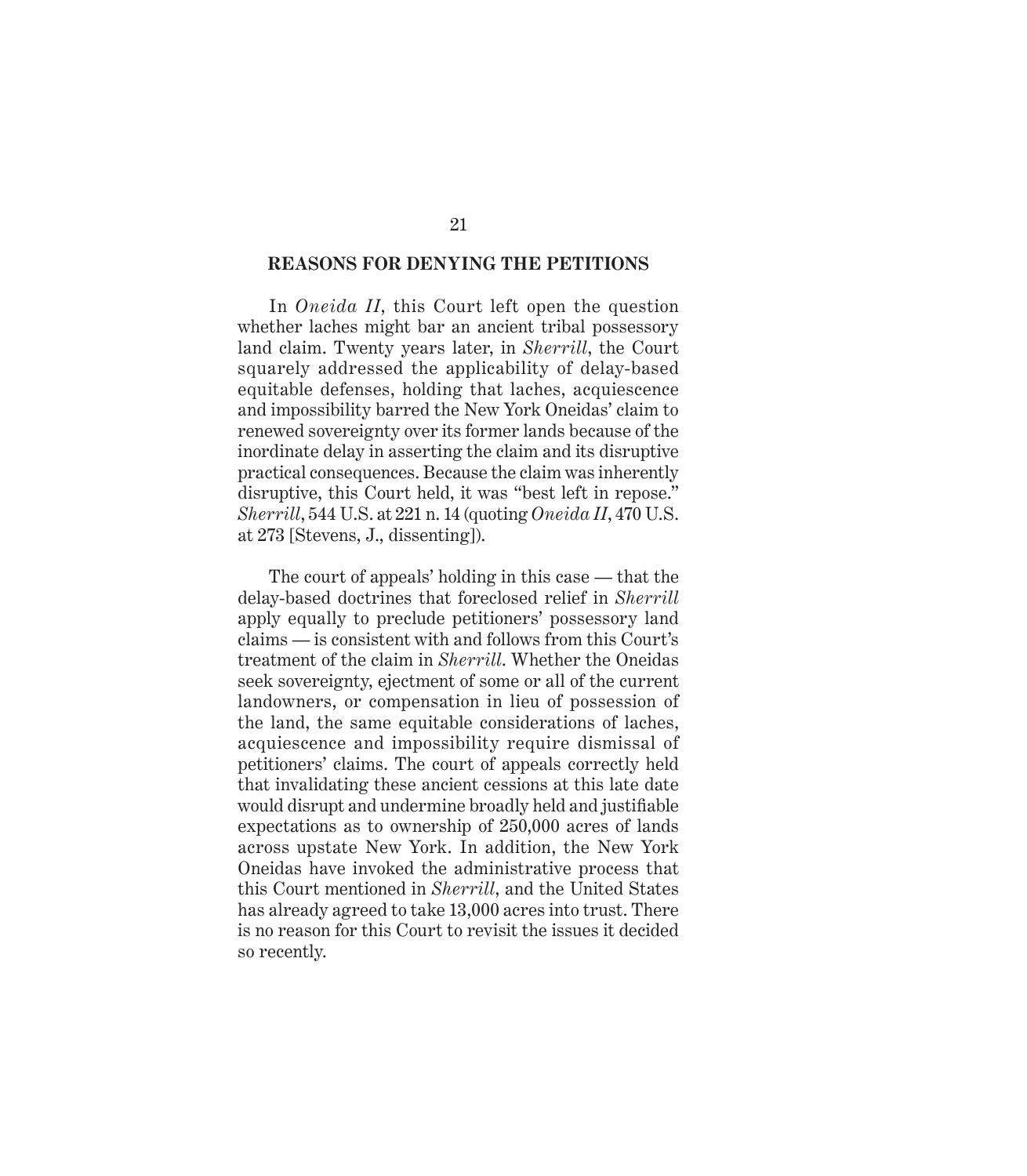#### **REASONS FOR DENYING THE PETITIONS**

In *Oneida II*, this Court left open the question whether laches might bar an ancient tribal possessory land claim. Twenty years later, in *Sherrill*, the Court squarely addressed the applicability of delay-based equitable defenses, holding that laches, acquiescence and impossibility barred the New York Oneidas' claim to renewed sovereignty over its former lands because of the inordinate delay in asserting the claim and its disruptive practical consequences. Because the claim was inherently disruptive, this Court held, it was "best left in repose." *Sherrill*, 544 U.S. at 221 n. 14 (quoting *Oneida II*, 470 U.S. at 273 [Stevens, J., dissenting]).

The court of appeals' holding in this case — that the delay-based doctrines that foreclosed relief in *Sherrill* apply equally to preclude petitioners' possessory land claims — is consistent with and follows from this Court's treatment of the claim in *Sherrill*. Whether the Oneidas seek sovereignty, ejectment of some or all of the current landowners, or compensation in lieu of possession of the land, the same equitable considerations of laches, acquiescence and impossibility require dismissal of petitioners' claims. The court of appeals correctly held that invalidating these ancient cessions at this late date would disrupt and undermine broadly held and justifiable expectations as to ownership of 250,000 acres of lands across upstate New York. In addition, the New York Oneidas have invoked the administrative process that this Court mentioned in *Sherrill*, and the United States has already agreed to take 13,000 acres into trust. There is no reason for this Court to revisit the issues it decided so recently.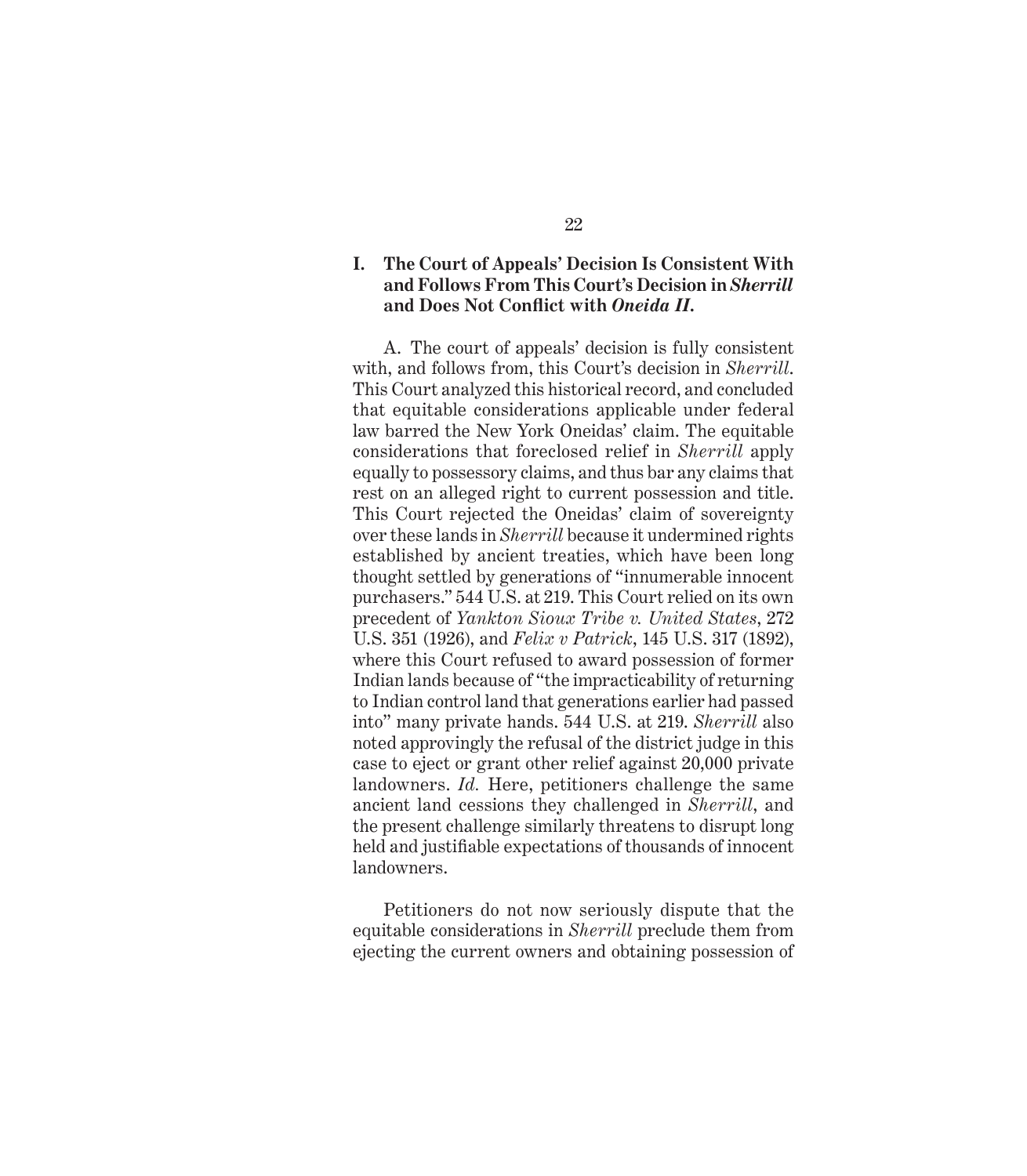# **I. The Court of Appeals' Decision Is Consistent With and Follows From This Court's Decision in** *Sherrill* **and Does Not Confl ict with** *Oneida II***.**

A. The court of appeals' decision is fully consistent with, and follows from, this Court's decision in *Sherrill*. This Court analyzed this historical record, and concluded that equitable considerations applicable under federal law barred the New York Oneidas' claim. The equitable considerations that foreclosed relief in *Sherrill* apply equally to possessory claims, and thus bar any claims that rest on an alleged right to current possession and title. This Court rejected the Oneidas' claim of sovereignty over these lands in *Sherrill* because it undermined rights established by ancient treaties, which have been long thought settled by generations of "innumerable innocent purchasers." 544 U.S. at 219. This Court relied on its own precedent of *Yankton Sioux Tribe v. United States*, 272 U.S. 351 (1926), and *Felix v Patrick*, 145 U.S. 317 (1892), where this Court refused to award possession of former Indian lands because of "the impracticability of returning to Indian control land that generations earlier had passed into" many private hands. 544 U.S. at 219. *Sherrill* also noted approvingly the refusal of the district judge in this case to eject or grant other relief against 20,000 private landowners. *Id.* Here, petitioners challenge the same ancient land cessions they challenged in *Sherrill*, and the present challenge similarly threatens to disrupt long held and justifiable expectations of thousands of innocent landowners.

Petitioners do not now seriously dispute that the equitable considerations in *Sherrill* preclude them from ejecting the current owners and obtaining possession of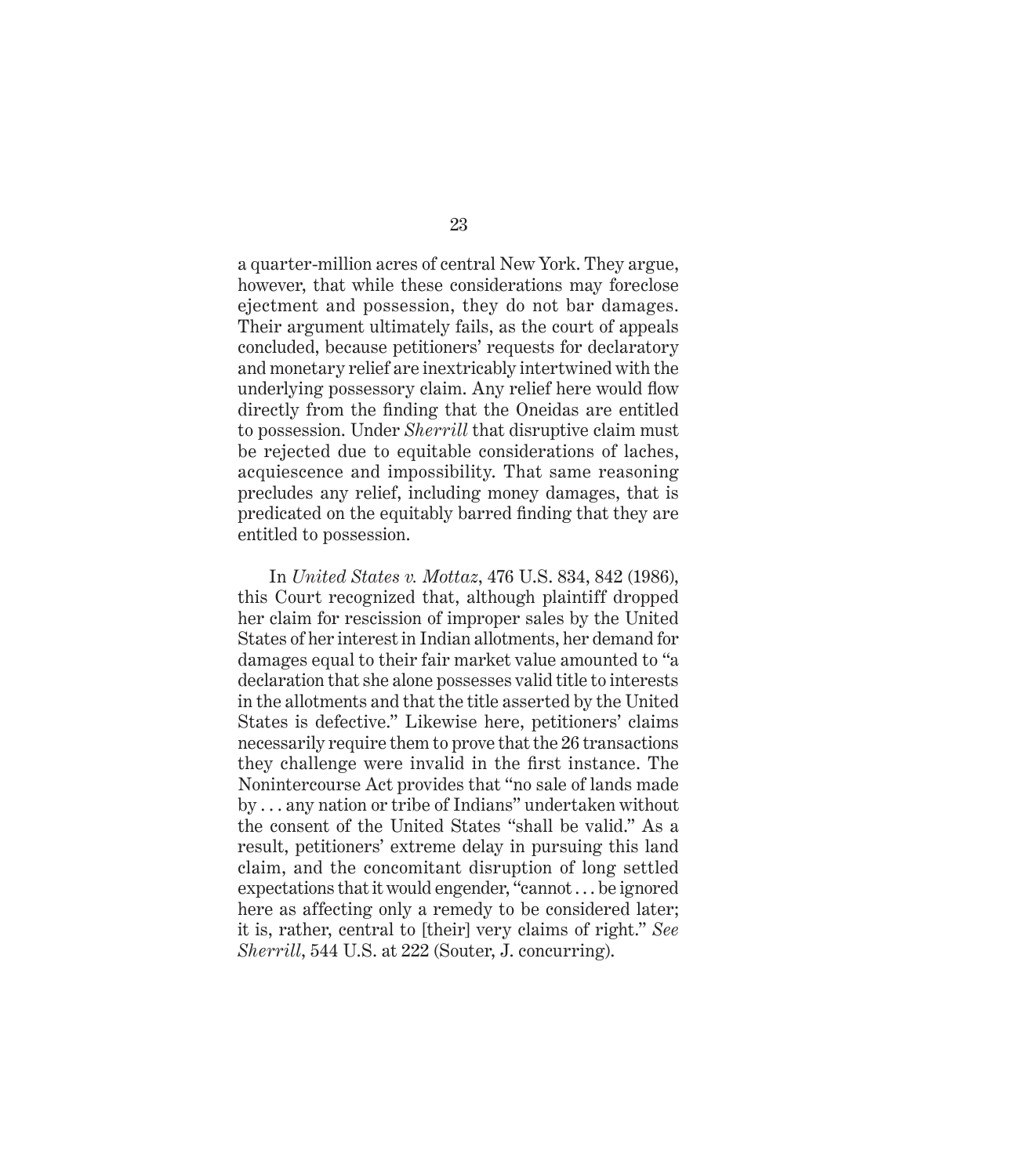a quarter-million acres of central New York. They argue, however, that while these considerations may foreclose ejectment and possession, they do not bar damages. Their argument ultimately fails, as the court of appeals concluded, because petitioners' requests for declaratory and monetary relief are inextricably intertwined with the underlying possessory claim. Any relief here would flow directly from the finding that the Oneidas are entitled to possession. Under *Sherrill* that disruptive claim must be rejected due to equitable considerations of laches, acquiescence and impossibility. That same reasoning precludes any relief, including money damages, that is predicated on the equitably barred finding that they are entitled to possession.

In *United States v. Mottaz*, 476 U.S. 834, 842 (1986), this Court recognized that, although plaintiff dropped her claim for rescission of improper sales by the United States of her interest in Indian allotments, her demand for damages equal to their fair market value amounted to "a declaration that she alone possesses valid title to interests in the allotments and that the title asserted by the United States is defective." Likewise here, petitioners' claims necessarily require them to prove that the 26 transactions they challenge were invalid in the first instance. The Nonintercourse Act provides that "no sale of lands made by . . . any nation or tribe of Indians" undertaken without the consent of the United States "shall be valid." As a result, petitioners' extreme delay in pursuing this land claim, and the concomitant disruption of long settled expectations that it would engender, "cannot . . . be ignored here as affecting only a remedy to be considered later; it is, rather, central to [their] very claims of right." *See Sherrill*, 544 U.S. at 222 (Souter, J. concurring).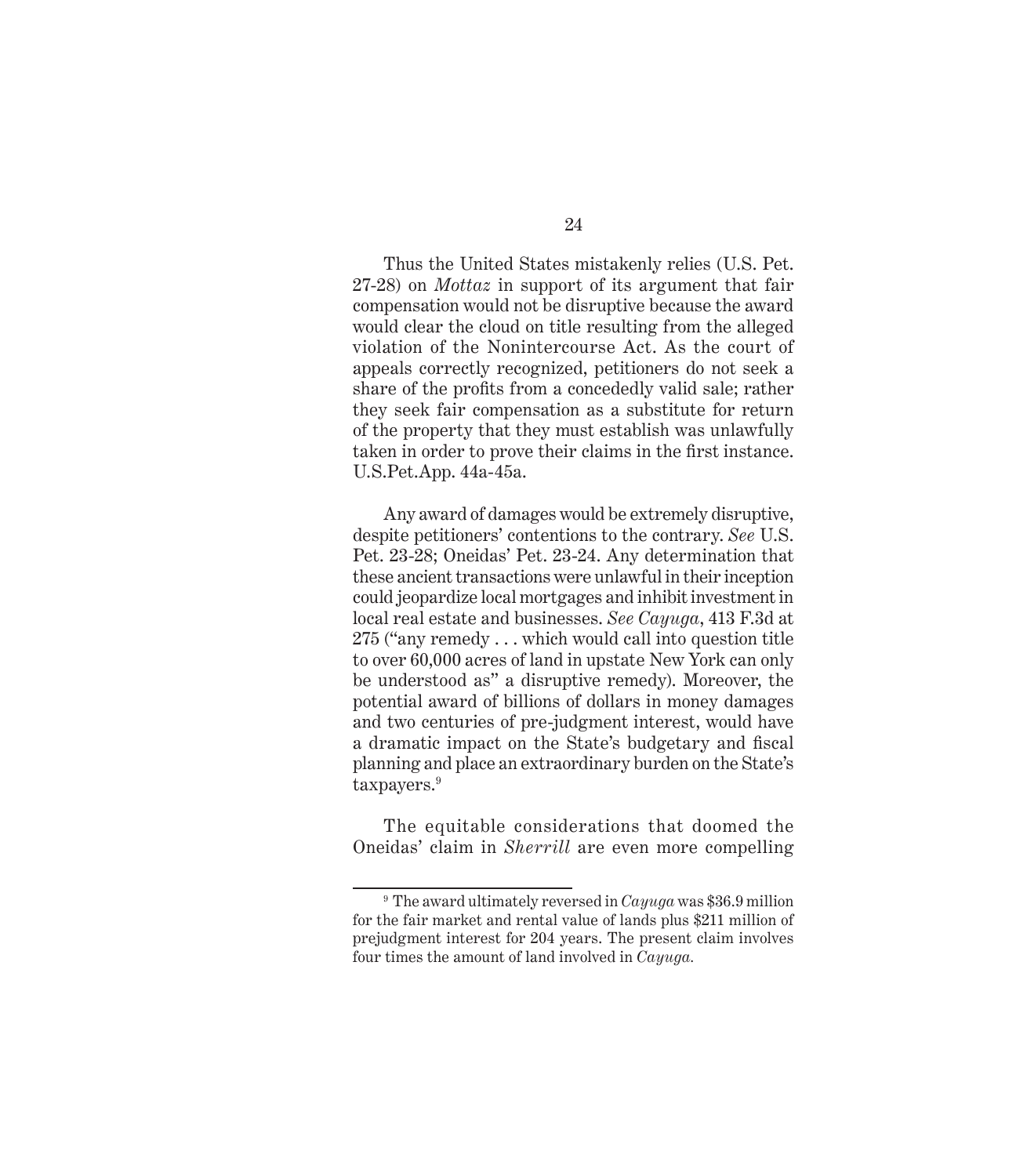Thus the United States mistakenly relies (U.S. Pet. 27-28) on *Mottaz* in support of its argument that fair compensation would not be disruptive because the award would clear the cloud on title resulting from the alleged violation of the Nonintercourse Act. As the court of appeals correctly recognized, petitioners do not seek a share of the profits from a concededly valid sale; rather they seek fair compensation as a substitute for return of the property that they must establish was unlawfully taken in order to prove their claims in the first instance. U.S.Pet.App. 44a-45a.

Any award of damages would be extremely disruptive, despite petitioners' contentions to the contrary. *See* U.S. Pet. 23-28; Oneidas' Pet. 23-24. Any determination that these ancient transactions were unlawful in their inception could jeopardize local mortgages and inhibit investment in local real estate and businesses. *See Cayuga*, 413 F.3d at 275 ("any remedy . . . which would call into question title to over 60,000 acres of land in upstate New York can only be understood as" a disruptive remedy). Moreover, the potential award of billions of dollars in money damages and two centuries of pre-judgment interest, would have a dramatic impact on the State's budgetary and fiscal planning and place an extraordinary burden on the State's taxpayers.<sup>9</sup>

The equitable considerations that doomed the Oneidas' claim in *Sherrill* are even more compelling

<sup>9</sup> The award ultimately reversed in *Cayuga* was \$36.9 million for the fair market and rental value of lands plus \$211 million of prejudgment interest for 204 years. The present claim involves four times the amount of land involved in *Cayuga.*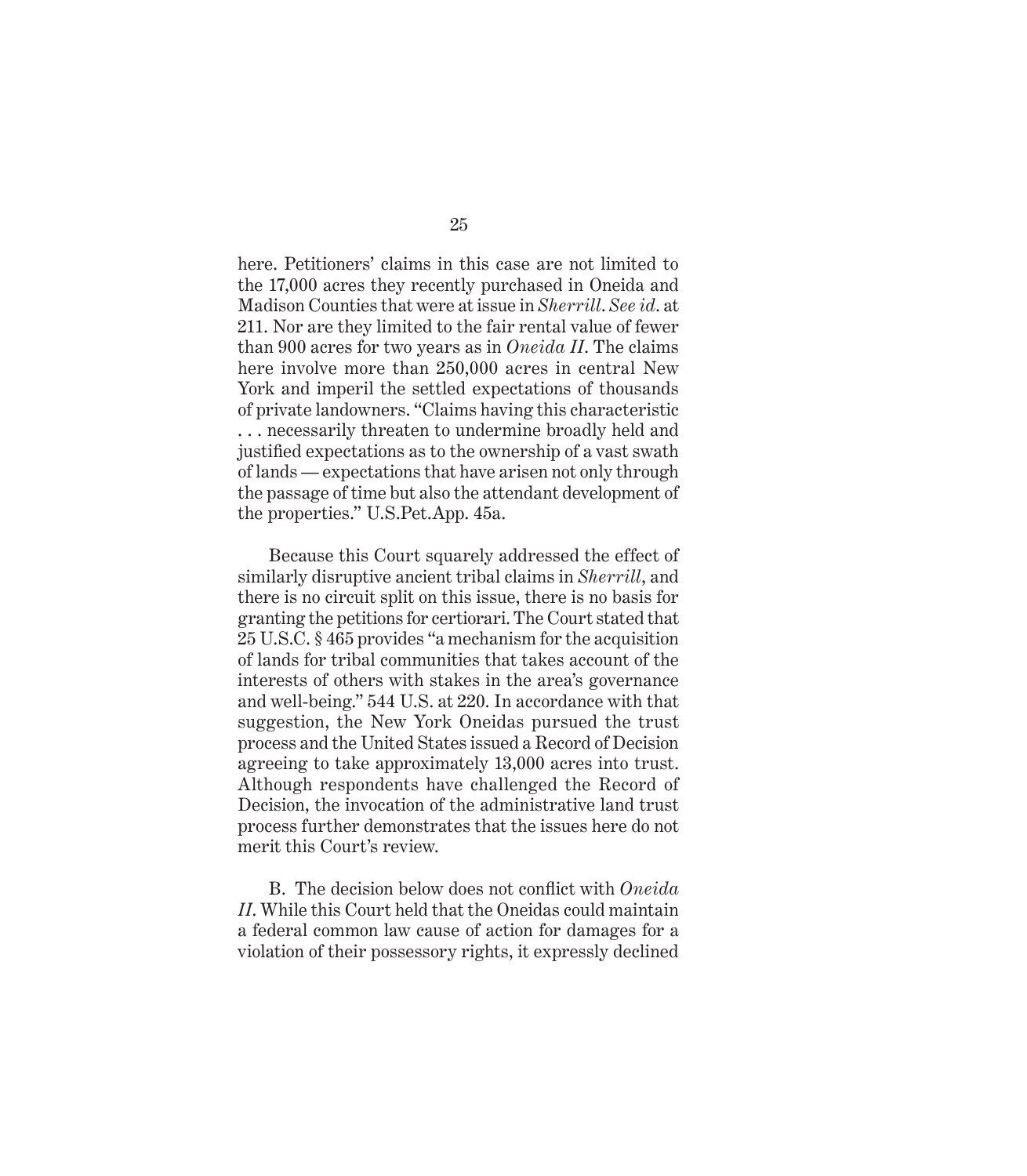here. Petitioners' claims in this case are not limited to the 17,000 acres they recently purchased in Oneida and Madison Counties that were at issue in *Sherrill*. *See id*. at 211. Nor are they limited to the fair rental value of fewer than 900 acres for two years as in *Oneida II*. The claims here involve more than 250,000 acres in central New York and imperil the settled expectations of thousands of private landowners. "Claims having this characteristic . . . necessarily threaten to undermine broadly held and justified expectations as to the ownership of a vast swath of lands — expectations that have arisen not only through the passage of time but also the attendant development of the properties." U.S.Pet.App. 45a.

Because this Court squarely addressed the effect of similarly disruptive ancient tribal claims in *Sherrill*, and there is no circuit split on this issue, there is no basis for granting the petitions for certiorari. The Court stated that 25 U.S.C. § 465 provides "a mechanism for the acquisition of lands for tribal communities that takes account of the interests of others with stakes in the area's governance and well-being." 544 U.S. at 220. In accordance with that suggestion, the New York Oneidas pursued the trust process and the United States issued a Record of Decision agreeing to take approximately 13,000 acres into trust. Although respondents have challenged the Record of Decision, the invocation of the administrative land trust process further demonstrates that the issues here do not merit this Court's review.

B. The decision below does not conflict with *Oneida II*. While this Court held that the Oneidas could maintain a federal common law cause of action for damages for a violation of their possessory rights, it expressly declined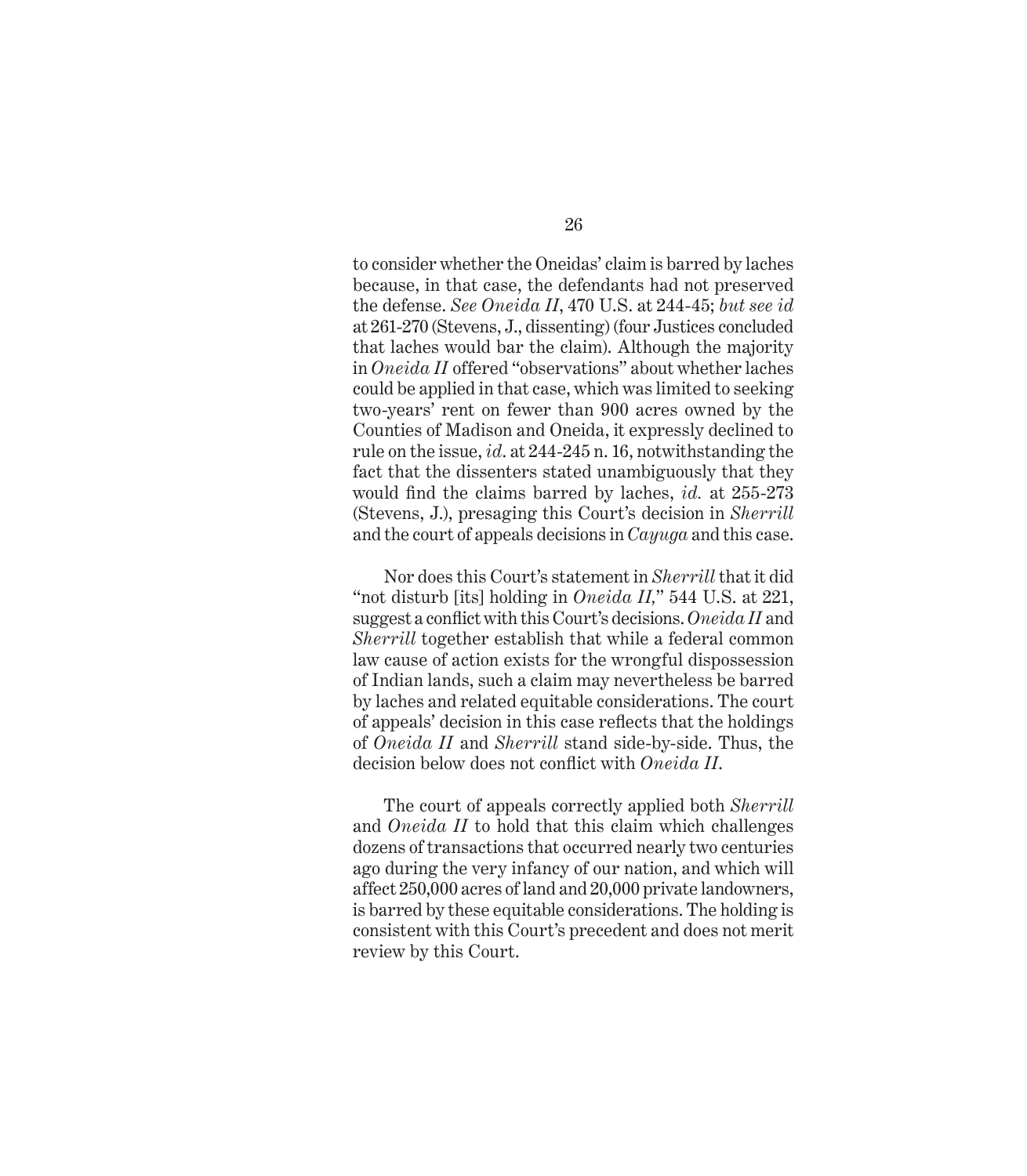to consider whether the Oneidas' claim is barred by laches because, in that case, the defendants had not preserved the defense. *See Oneida II*, 470 U.S. at 244-45; *but see id* at 261-270 (Stevens, J., dissenting) (four Justices concluded that laches would bar the claim). Although the majority in *Oneida II* offered "observations" about whether laches could be applied in that case, which was limited to seeking two-years' rent on fewer than 900 acres owned by the Counties of Madison and Oneida, it expressly declined to rule on the issue, *id*. at 244-245 n. 16, notwithstanding the fact that the dissenters stated unambiguously that they would find the claims barred by laches, *id.* at 255-273 (Stevens, J.), presaging this Court's decision in *Sherrill* and the court of appeals decisions in *Cayuga* and this case.

Nor does this Court's statement in *Sherrill* that it did "not disturb [its] holding in *Oneida II,*" 544 U.S. at 221, suggest a conflict with this Court's decisions. Oneida II and *Sherrill* together establish that while a federal common law cause of action exists for the wrongful dispossession of Indian lands, such a claim may nevertheless be barred by laches and related equitable considerations. The court of appeals' decision in this case reflects that the holdings of *Oneida II* and *Sherrill* stand side-by-side. Thus, the decision below does not conflict with *Oneida II*.

The court of appeals correctly applied both *Sherrill*  and *Oneida II* to hold that this claim which challenges dozens of transactions that occurred nearly two centuries ago during the very infancy of our nation, and which will affect 250,000 acres of land and 20,000 private landowners, is barred by these equitable considerations. The holding is consistent with this Court's precedent and does not merit review by this Court.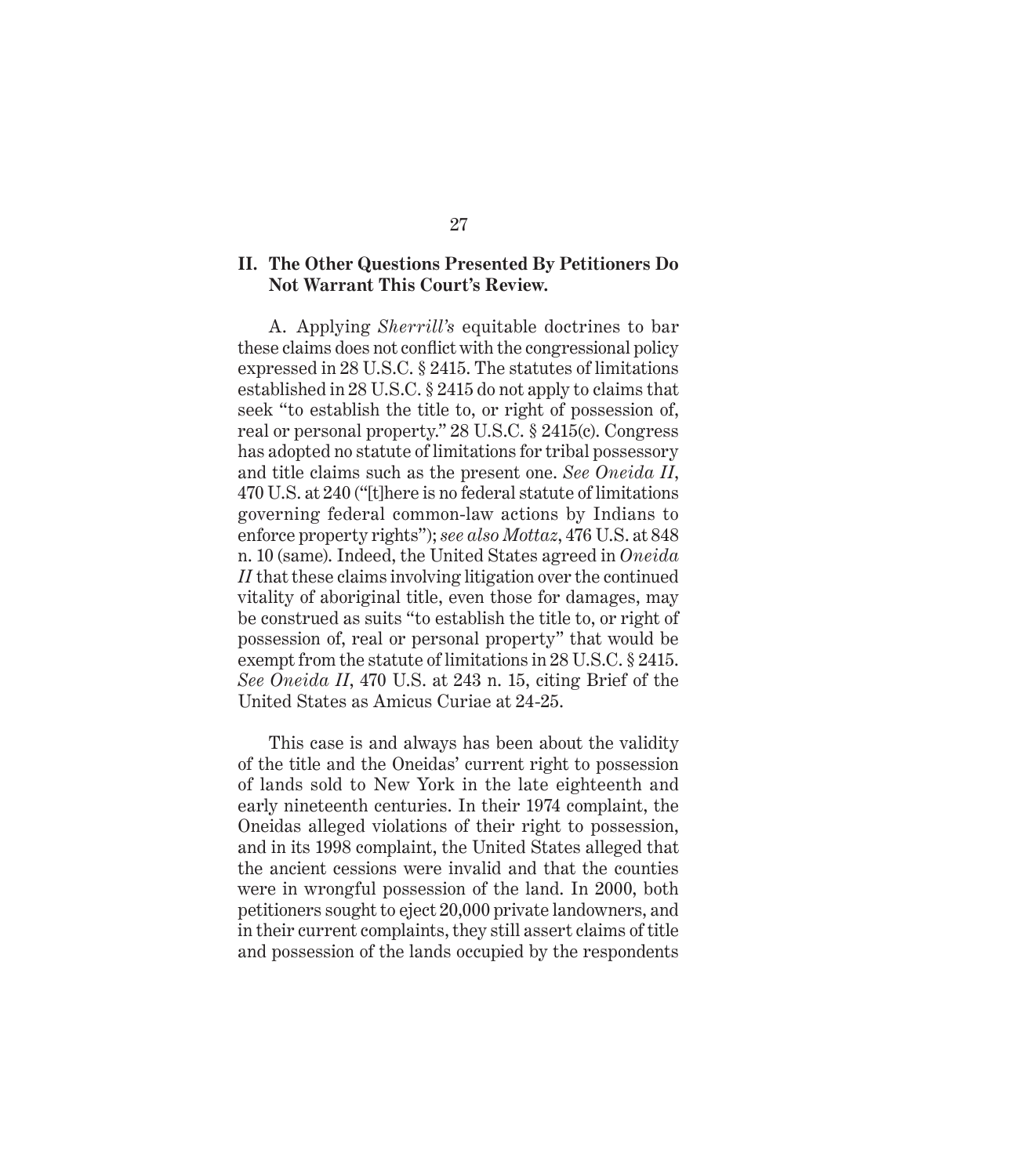### **II. The Other Questions Presented By Petitioners Do Not Warrant This Court's Review.**

A. Applying *Sherrill's* equitable doctrines to bar these claims does not conflict with the congressional policy expressed in 28 U.S.C. § 2415. The statutes of limitations established in 28 U.S.C. § 2415 do not apply to claims that seek "to establish the title to, or right of possession of, real or personal property." 28 U.S.C. § 2415(c). Congress has adopted no statute of limitations for tribal possessory and title claims such as the present one. *See Oneida II*, 470 U.S. at 240 ("[t]here is no federal statute of limitations governing federal common-law actions by Indians to enforce property rights"); *see also Mottaz*, 476 U.S. at 848 n. 10 (same). Indeed, the United States agreed in *Oneida II* that these claims involving litigation over the continued vitality of aboriginal title, even those for damages, may be construed as suits "to establish the title to, or right of possession of, real or personal property" that would be exempt from the statute of limitations in 28 U.S.C. § 2415. *See Oneida II*, 470 U.S. at 243 n. 15, citing Brief of the United States as Amicus Curiae at 24-25.

This case is and always has been about the validity of the title and the Oneidas' current right to possession of lands sold to New York in the late eighteenth and early nineteenth centuries. In their 1974 complaint, the Oneidas alleged violations of their right to possession, and in its 1998 complaint, the United States alleged that the ancient cessions were invalid and that the counties were in wrongful possession of the land. In 2000, both petitioners sought to eject 20,000 private landowners, and in their current complaints, they still assert claims of title and possession of the lands occupied by the respondents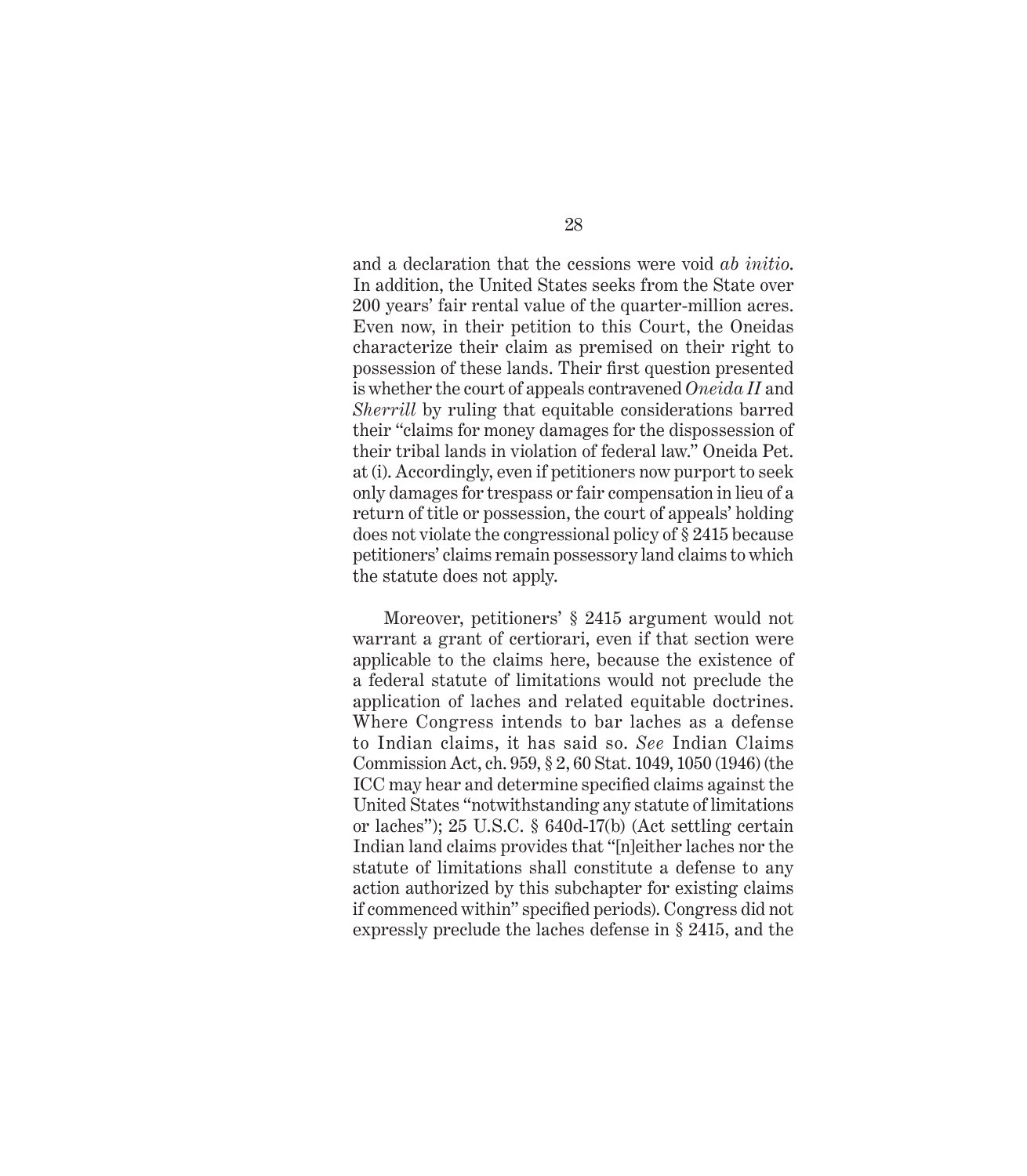and a declaration that the cessions were void *ab initio*. In addition, the United States seeks from the State over 200 years' fair rental value of the quarter-million acres. Even now, in their petition to this Court, the Oneidas characterize their claim as premised on their right to possession of these lands. Their first question presented is whether the court of appeals contravened *Oneida II* and *Sherrill* by ruling that equitable considerations barred their "claims for money damages for the dispossession of their tribal lands in violation of federal law." Oneida Pet. at (i). Accordingly, even if petitioners now purport to seek only damages for trespass or fair compensation in lieu of a return of title or possession, the court of appeals' holding does not violate the congressional policy of § 2415 because petitioners' claims remain possessory land claims to which the statute does not apply.

Moreover, petitioners' § 2415 argument would not warrant a grant of certiorari, even if that section were applicable to the claims here, because the existence of a federal statute of limitations would not preclude the application of laches and related equitable doctrines. Where Congress intends to bar laches as a defense to Indian claims, it has said so. *See* Indian Claims Commission Act, ch. 959, § 2, 60 Stat. 1049, 1050 (1946) (the ICC may hear and determine specified claims against the United States "notwithstanding any statute of limitations or laches"); 25 U.S.C. § 640d-17(b) (Act settling certain Indian land claims provides that "[n]either laches nor the statute of limitations shall constitute a defense to any action authorized by this subchapter for existing claims if commenced within" specified periods). Congress did not expressly preclude the laches defense in § 2415, and the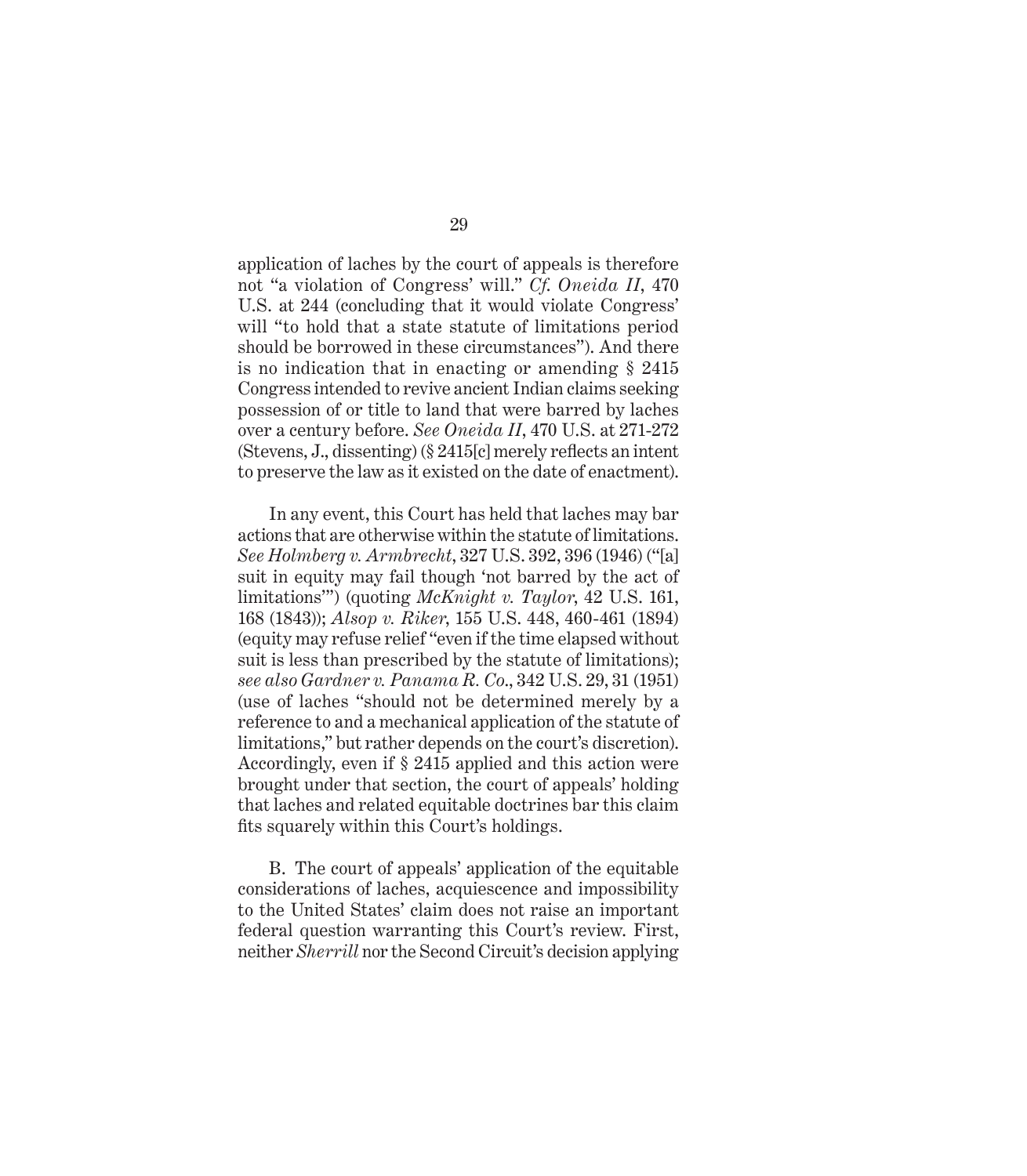application of laches by the court of appeals is therefore not "a violation of Congress' will." *Cf*. *Oneida II*, 470 U.S. at 244 (concluding that it would violate Congress' will "to hold that a state statute of limitations period should be borrowed in these circumstances"). And there is no indication that in enacting or amending § 2415 Congress intended to revive ancient Indian claims seeking possession of or title to land that were barred by laches over a century before. *See Oneida II*, 470 U.S. at 271-272 (Stevens, J., dissenting)  $(\S 2415[c]$  merely reflects an intent to preserve the law as it existed on the date of enactment).

In any event, this Court has held that laches may bar actions that are otherwise within the statute of limitations. *See Holmberg v. Armbrecht*, 327 U.S. 392, 396 (1946) ("[a] suit in equity may fail though 'not barred by the act of limitations'") (quoting *McKnight v. Taylor*, 42 U.S. 161, 168 (1843)); *Alsop v. Riker*, 155 U.S. 448, 460-461 (1894) (equity may refuse relief "even if the time elapsed without suit is less than prescribed by the statute of limitations); *see also Gardner v. Panama R. Co*., 342 U.S. 29, 31 (1951) (use of laches "should not be determined merely by a reference to and a mechanical application of the statute of limitations," but rather depends on the court's discretion). Accordingly, even if § 2415 applied and this action were brought under that section, the court of appeals' holding that laches and related equitable doctrines bar this claim fits squarely within this Court's holdings.

B. The court of appeals' application of the equitable considerations of laches, acquiescence and impossibility to the United States' claim does not raise an important federal question warranting this Court's review. First, neither *Sherrill* nor the Second Circuit's decision applying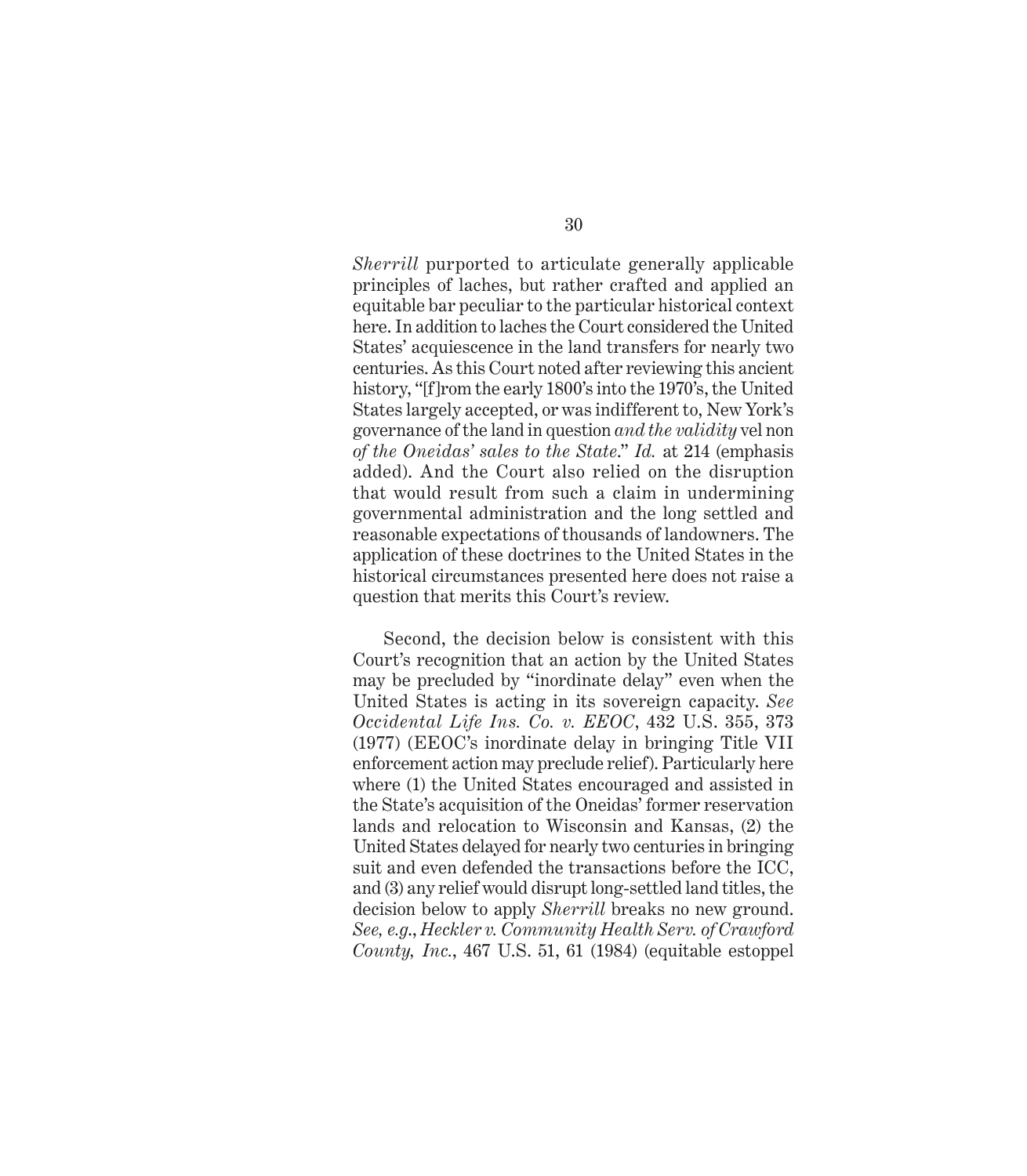*Sherrill* purported to articulate generally applicable principles of laches, but rather crafted and applied an equitable bar peculiar to the particular historical context here. In addition to laches the Court considered the United States' acquiescence in the land transfers for nearly two centuries. As this Court noted after reviewing this ancient history, "[f]rom the early 1800's into the 1970's, the United States largely accepted, or was indifferent to, New York's governance of the land in question *and the validity* vel non *of the Oneidas' sales to the State*." *Id.* at 214 (emphasis added). And the Court also relied on the disruption that would result from such a claim in undermining governmental administration and the long settled and reasonable expectations of thousands of landowners. The application of these doctrines to the United States in the historical circumstances presented here does not raise a question that merits this Court's review.

Second, the decision below is consistent with this Court's recognition that an action by the United States may be precluded by "inordinate delay" even when the United States is acting in its sovereign capacity. *See Occidental Life Ins. Co. v. EEOC*, 432 U.S. 355, 373 (1977) (EEOC's inordinate delay in bringing Title VII enforcement action may preclude relief). Particularly here where (1) the United States encouraged and assisted in the State's acquisition of the Oneidas' former reservation lands and relocation to Wisconsin and Kansas, (2) the United States delayed for nearly two centuries in bringing suit and even defended the transactions before the ICC, and (3) any relief would disrupt long-settled land titles, the decision below to apply *Sherrill* breaks no new ground. *See, e.g*., *Heckler v. Community Health Serv. of Crawford County, Inc.*, 467 U.S. 51, 61 (1984) (equitable estoppel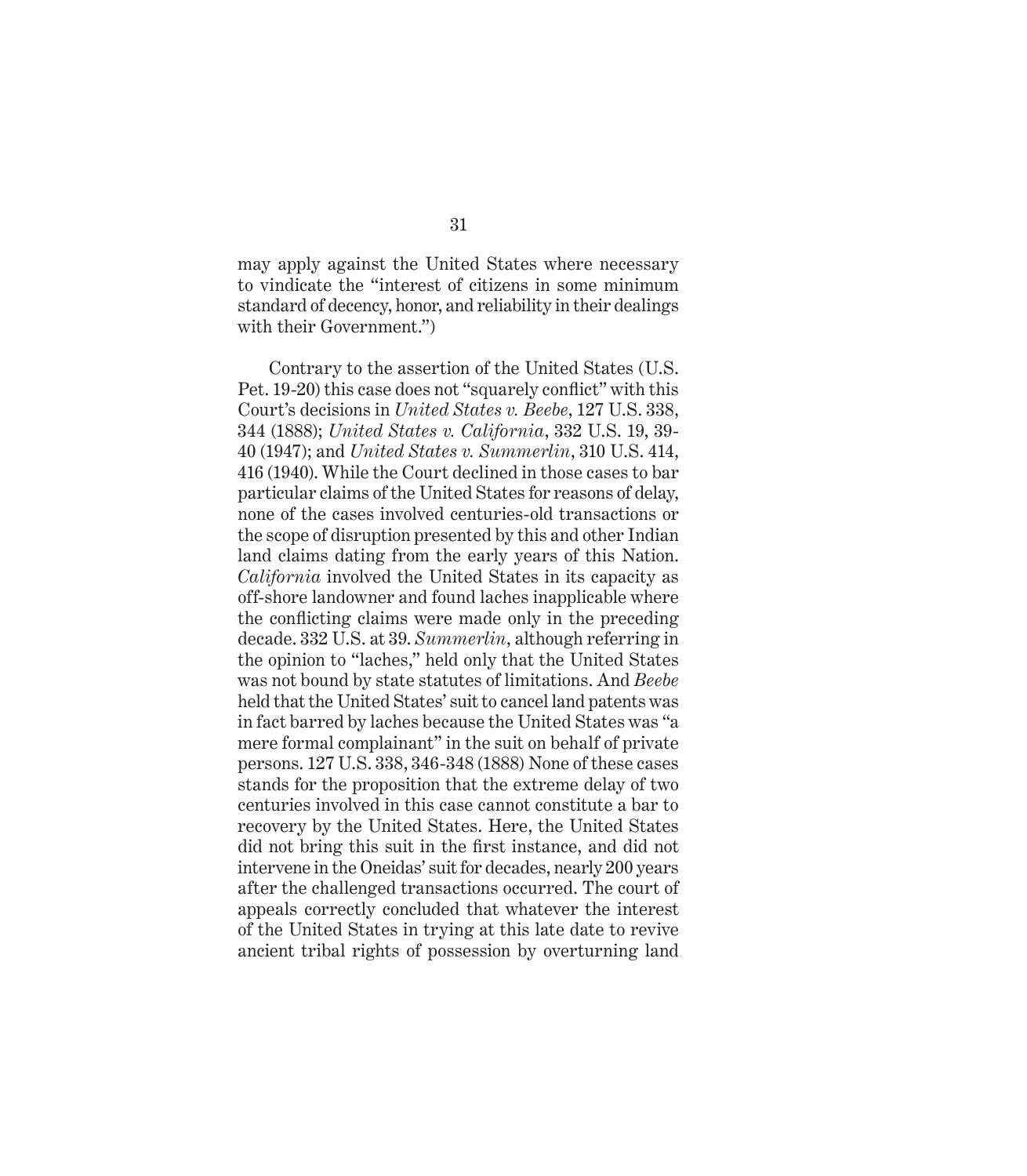may apply against the United States where necessary to vindicate the "interest of citizens in some minimum standard of decency, honor, and reliability in their dealings with their Government.")

Contrary to the assertion of the United States (U.S. Pet. 19-20) this case does not "squarely conflict" with this Court's decisions in *United States v. Beebe*, 127 U.S. 338, 344 (1888); *United States v. California*, 332 U.S. 19, 39- 40 (1947); and *United States v. Summerlin*, 310 U.S. 414, 416 (1940). While the Court declined in those cases to bar particular claims of the United States for reasons of delay, none of the cases involved centuries-old transactions or the scope of disruption presented by this and other Indian land claims dating from the early years of this Nation. *California* involved the United States in its capacity as off-shore landowner and found laches inapplicable where the conflicting claims were made only in the preceding decade. 332 U.S. at 39. *Summerlin*, although referring in the opinion to "laches," held only that the United States was not bound by state statutes of limitations. And *Beebe* held that the United States' suit to cancel land patents was in fact barred by laches because the United States was "a mere formal complainant" in the suit on behalf of private persons. 127 U.S. 338, 346-348 (1888) None of these cases stands for the proposition that the extreme delay of two centuries involved in this case cannot constitute a bar to recovery by the United States. Here, the United States did not bring this suit in the first instance, and did not intervene in the Oneidas' suit for decades, nearly 200 years after the challenged transactions occurred. The court of appeals correctly concluded that whatever the interest of the United States in trying at this late date to revive ancient tribal rights of possession by overturning land